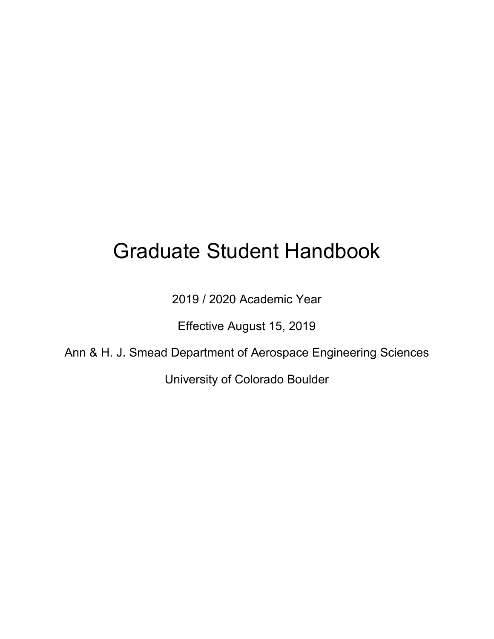# Graduate Student Handbook

2019 / 2020 Academic Year

Effective August 15, 2019

Ann & H. J. Smead Department of Aerospace Engineering Sciences

University of Colorado Boulder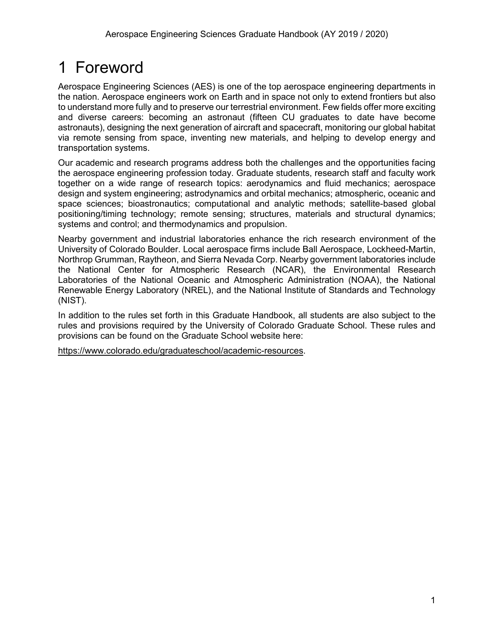# <span id="page-1-0"></span>1 Foreword

Aerospace Engineering Sciences (AES) is one of the top aerospace engineering departments in the nation. Aerospace engineers work on Earth and in space not only to extend frontiers but also to understand more fully and to preserve our terrestrial environment. Few fields offer more exciting and diverse careers: becoming an astronaut (fifteen CU graduates to date have become astronauts), designing the next generation of aircraft and spacecraft, monitoring our global habitat via remote sensing from space, inventing new materials, and helping to develop energy and transportation systems.

Our academic and research programs address both the challenges and the opportunities facing the aerospace engineering profession today. Graduate students, research staff and faculty work together on a wide range of research topics: aerodynamics and fluid mechanics; aerospace design and system engineering; astrodynamics and orbital mechanics; atmospheric, oceanic and space sciences; bioastronautics; computational and analytic methods; satellite-based global positioning/timing technology; remote sensing; structures, materials and structural dynamics; systems and control; and thermodynamics and propulsion.

Nearby government and industrial laboratories enhance the rich research environment of the University of Colorado Boulder. Local aerospace firms include Ball Aerospace, Lockheed-Martin, Northrop Grumman, Raytheon, and Sierra Nevada Corp. Nearby government laboratories include the National Center for Atmospheric Research (NCAR), the Environmental Research Laboratories of the National Oceanic and Atmospheric Administration (NOAA), the National Renewable Energy Laboratory (NREL), and the National Institute of Standards and Technology (NIST).

In addition to the rules set forth in this Graduate Handbook, all students are also subject to the rules and provisions required by the University of Colorado Graduate School. These rules and provisions can be found on the Graduate School website here:

[https://www.colorado.edu/graduateschool/academic-resources.](https://www.colorado.edu/graduateschool/academic-resources)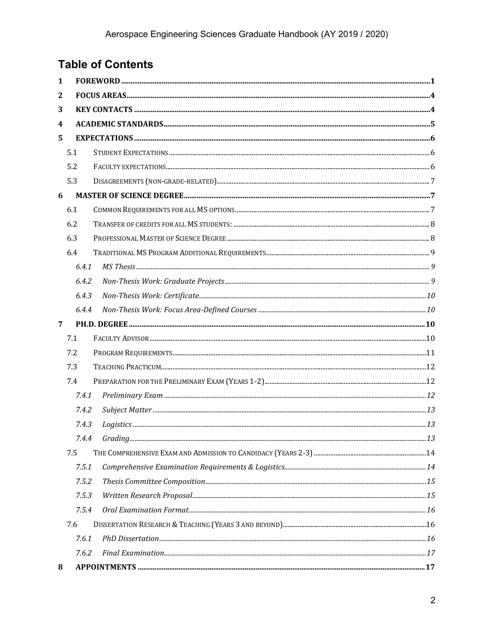# **Table of Contents**

| 1            |       |  |
|--------------|-------|--|
| $\mathbf{2}$ |       |  |
| 3            |       |  |
| 4            |       |  |
| 5            |       |  |
|              | 5.1   |  |
|              | 5.2   |  |
|              | 5.3   |  |
| 6            |       |  |
|              | 6.1   |  |
|              | 6.2   |  |
|              | 6.3   |  |
|              | 6.4   |  |
|              | 6.4.1 |  |
|              | 6.4.2 |  |
|              | 6.4.3 |  |
|              | 6.4.4 |  |
| 7            |       |  |
|              | 7.1   |  |
|              | 7.2   |  |
|              | 7.3   |  |
|              | 7.4   |  |
|              | 7.4.1 |  |
|              | 7.4.2 |  |
|              | 7.4.3 |  |
|              | 7.4.4 |  |
|              | 7.5   |  |
|              | 7.5.1 |  |
|              | 7.5.2 |  |
|              | 7.5.3 |  |
|              | 7.5.4 |  |
|              | 7.6   |  |
|              | 7.6.1 |  |
|              | 7.6.2 |  |
| 8            |       |  |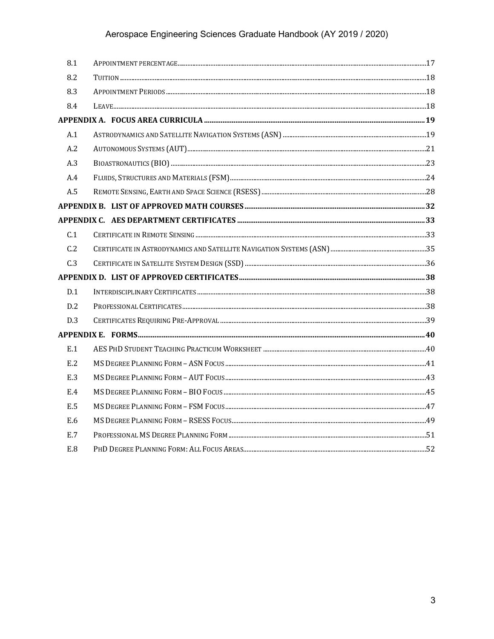### Aerospace Engineering Sciences Graduate Handbook (AY 2019 / 2020)

| 8.1 |  |
|-----|--|
| 8.2 |  |
| 8.3 |  |
| 8.4 |  |
|     |  |
| A.1 |  |
| A.2 |  |
| A.3 |  |
| A.4 |  |
| A.5 |  |
|     |  |
|     |  |
| C.1 |  |
| C.2 |  |
| C.3 |  |
|     |  |
| D.1 |  |
| D.2 |  |
| D.3 |  |
|     |  |
| E.1 |  |
| E.2 |  |
| E.3 |  |
| E.4 |  |
| E.5 |  |
| E.6 |  |
| E.7 |  |
| E.8 |  |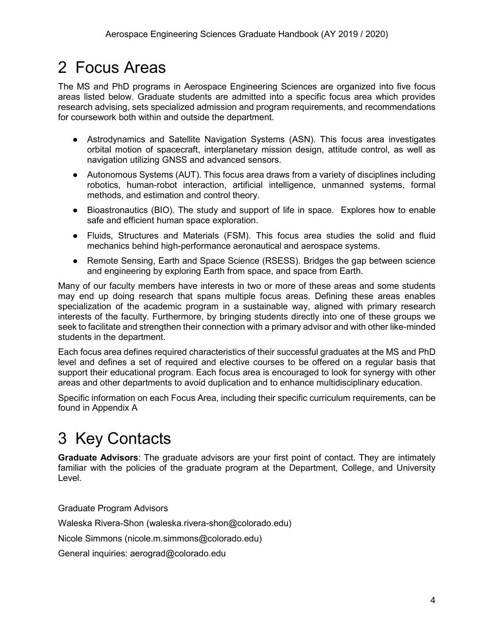# <span id="page-4-0"></span>2 Focus Areas

The MS and PhD programs in Aerospace Engineering Sciences are organized into five focus areas listed below. Graduate students are admitted into a specific focus area which provides research advising, sets specialized admission and program requirements, and recommendations for coursework both within and outside the department.

- Astrodynamics and Satellite Navigation Systems (ASN). This focus area investigates orbital motion of spacecraft, interplanetary mission design, attitude control, as well as navigation utilizing GNSS and advanced sensors.
- Autonomous Systems (AUT). This focus area draws from a variety of disciplines including robotics, human-robot interaction, artificial intelligence, unmanned systems, formal methods, and estimation and control theory.
- Bioastronautics (BIO). The study and support of life in space. Explores how to enable safe and efficient human space exploration.
- Fluids, Structures and Materials (FSM). This focus area studies the solid and fluid mechanics behind high-performance aeronautical and aerospace systems.
- Remote Sensing, Earth and Space Science (RSESS). Bridges the gap between science and engineering by exploring Earth from space, and space from Earth.

Many of our faculty members have interests in two or more of these areas and some students may end up doing research that spans multiple focus areas. Defining these areas enables specialization of the academic program in a sustainable way, aligned with primary research interests of the faculty. Furthermore, by bringing students directly into one of these groups we seek to facilitate and strengthen their connection with a primary advisor and with other like-minded students in the department.

Each focus area defines required characteristics of their successful graduates at the MS and PhD level and defines a set of required and elective courses to be offered on a regular basis that support their educational program. Each focus area is encouraged to look for synergy with other areas and other departments to avoid duplication and to enhance multidisciplinary education.

Specific information on each Focus Area, including their specific curriculum requirements, can be found in [Appendix A](#page-19-0)

# <span id="page-4-1"></span>3 Key Contacts

**Graduate Advisors**: The graduate advisors are your first point of contact. They are intimately familiar with the policies of the graduate program at the Department, College, and University Level.

Graduate Program Advisors

Waleska Rivera-Shon (waleska.rivera-shon@colorado.edu)

Nicole Simmons (nicole.m.simmons@colorado.edu)

General inquiries: aerograd@colorado.edu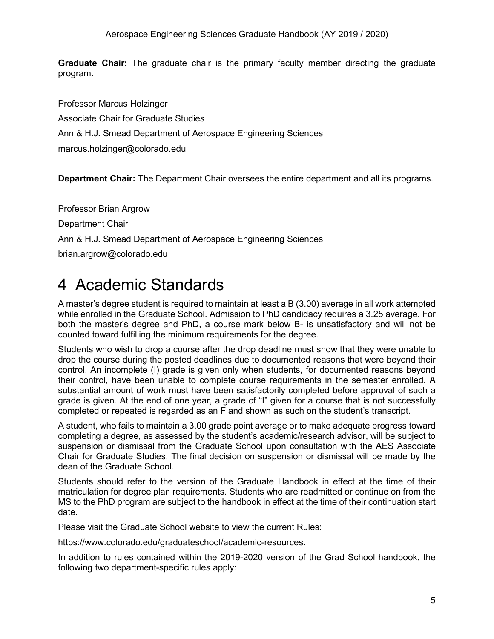**Graduate Chair:** The graduate chair is the primary faculty member directing the graduate program.

Professor Marcus Holzinger Associate Chair for Graduate Studies Ann & H.J. Smead Department of Aerospace Engineering Sciences marcus.holzinger@colorado.edu

**Department Chair:** The Department Chair oversees the entire department and all its programs.

Professor Brian Argrow Department Chair Ann & H.J. Smead Department of Aerospace Engineering Sciences brian.argrow@colorado.edu

# <span id="page-5-0"></span>4 Academic Standards

A master's degree student is required to maintain at least a B (3.00) average in all work attempted while enrolled in the Graduate School. Admission to PhD candidacy requires a 3.25 average. For both the master's degree and PhD, a course mark below B- is unsatisfactory and will not be counted toward fulfilling the minimum requirements for the degree.

Students who wish to drop a course after the drop deadline must show that they were unable to drop the course during the posted deadlines due to documented reasons that were beyond their control. An incomplete (I) grade is given only when students, for documented reasons beyond their control, have been unable to complete course requirements in the semester enrolled. A substantial amount of work must have been satisfactorily completed before approval of such a grade is given. At the end of one year, a grade of "I" given for a course that is not successfully completed or repeated is regarded as an F and shown as such on the student's transcript.

A student, who fails to maintain a 3.00 grade point average or to make adequate progress toward completing a degree, as assessed by the student's academic/research advisor, will be subject to suspension or dismissal from the Graduate School upon consultation with the AES Associate Chair for Graduate Studies. The final decision on suspension or dismissal will be made by the dean of the Graduate School.

Students should refer to the version of the Graduate Handbook in effect at the time of their matriculation for degree plan requirements. Students who are readmitted or continue on from the MS to the PhD program are subject to the handbook in effect at the time of their continuation start date.

Please visit the Graduate School website to view the current Rules:

[https://www.colorado.edu/graduateschool/academic-resources.](https://www.colorado.edu/graduateschool/academic-resources)

In addition to rules contained within the 2019-2020 version of the Grad School handbook, the following two department-specific rules apply: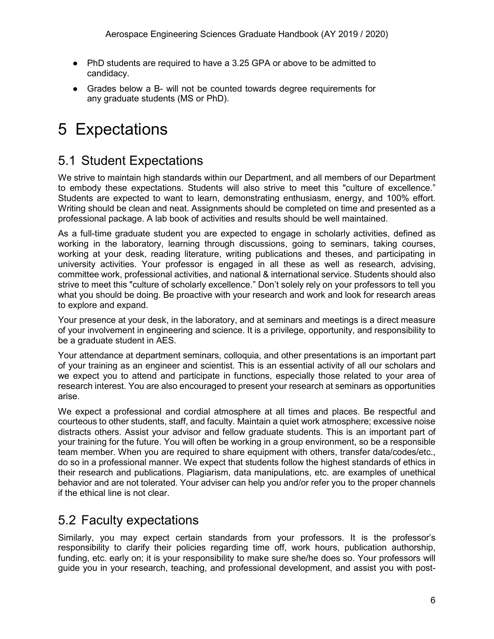- PhD students are required to have a 3.25 GPA or above to be admitted to candidacy.
- Grades below a B- will not be counted towards degree requirements for any graduate students (MS or PhD).

# <span id="page-6-0"></span>5 Expectations

# <span id="page-6-1"></span>5.1 Student Expectations

We strive to maintain high standards within our Department, and all members of our Department to embody these expectations. Students will also strive to meet this "culture of excellence." Students are expected to want to learn, demonstrating enthusiasm, energy, and 100% effort. Writing should be clean and neat. Assignments should be completed on time and presented as a professional package. A lab book of activities and results should be well maintained.

As a full-time graduate student you are expected to engage in scholarly activities, defined as working in the laboratory, learning through discussions, going to seminars, taking courses, working at your desk, reading literature, writing publications and theses, and participating in university activities. Your professor is engaged in all these as well as research, advising, committee work, professional activities, and national & international service. Students should also strive to meet this "culture of scholarly excellence." Don't solely rely on your professors to tell you what you should be doing. Be proactive with your research and work and look for research areas to explore and expand.

Your presence at your desk, in the laboratory, and at seminars and meetings is a direct measure of your involvement in engineering and science. It is a privilege, opportunity, and responsibility to be a graduate student in AES.

Your attendance at department seminars, colloquia, and other presentations is an important part of your training as an engineer and scientist. This is an essential activity of all our scholars and we expect you to attend and participate in functions, especially those related to your area of research interest. You are also encouraged to present your research at seminars as opportunities arise.

We expect a professional and cordial atmosphere at all times and places. Be respectful and courteous to other students, staff, and faculty. Maintain a quiet work atmosphere; excessive noise distracts others. Assist your advisor and fellow graduate students. This is an important part of your training for the future. You will often be working in a group environment, so be a responsible team member. When you are required to share equipment with others, transfer data/codes/etc., do so in a professional manner. We expect that students follow the highest standards of ethics in their research and publications. Plagiarism, data manipulations, etc. are examples of unethical behavior and are not tolerated. Your adviser can help you and/or refer you to the proper channels if the ethical line is not clear.

# <span id="page-6-2"></span>5.2 Faculty expectations

Similarly, you may expect certain standards from your professors. It is the professor's responsibility to clarify their policies regarding time off, work hours, publication authorship, funding, etc. early on; it is your responsibility to make sure she/he does so. Your professors will guide you in your research, teaching, and professional development, and assist you with post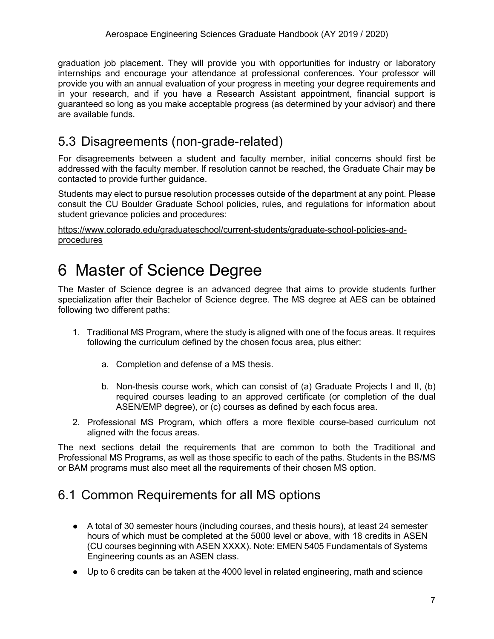graduation job placement. They will provide you with opportunities for industry or laboratory internships and encourage your attendance at professional conferences. Your professor will provide you with an annual evaluation of your progress in meeting your degree requirements and in your research, and if you have a Research Assistant appointment, financial support is guaranteed so long as you make acceptable progress (as determined by your advisor) and there are available funds.

### <span id="page-7-0"></span>5.3 Disagreements (non-grade-related)

For disagreements between a student and faculty member, initial concerns should first be addressed with the faculty member. If resolution cannot be reached, the Graduate Chair may be contacted to provide further guidance.

Students may elect to pursue resolution processes outside of the department at any point. Please consult the CU Boulder Graduate School policies, rules, and regulations for information about student grievance policies and procedures:

[https://www.colorado.edu/graduateschool/current-students/graduate-school-policies-and](https://www.colorado.edu/graduateschool/current-students/graduate-school-policies-and-procedures)[procedures](https://www.colorado.edu/graduateschool/current-students/graduate-school-policies-and-procedures)

# <span id="page-7-1"></span>6 Master of Science Degree

The Master of Science degree is an advanced degree that aims to provide students further specialization after their Bachelor of Science degree. The MS degree at AES can be obtained following two different paths:

- 1. Traditional MS Program, where the study is aligned with one of the focus areas. It requires following the curriculum defined by the chosen focus area, plus either:
	- a. Completion and defense of a MS thesis.
	- b. Non-thesis course work, which can consist of (a) Graduate Projects I and II, (b) required courses leading to an approved certificate (or completion of the dual ASEN/EMP degree), or (c) courses as defined by each focus area.
- 2. Professional MS Program, which offers a more flexible course-based curriculum not aligned with the focus areas.

The next sections detail the requirements that are common to both the Traditional and Professional MS Programs, as well as those specific to each of the paths. Students in the BS/MS or BAM programs must also meet all the requirements of their chosen MS option.

# <span id="page-7-2"></span>6.1 Common Requirements for all MS options

- A total of 30 semester hours (including courses, and thesis hours), at least 24 semester hours of which must be completed at the 5000 level or above, with 18 credits in ASEN (CU courses beginning with ASEN XXXX). Note: EMEN 5405 Fundamentals of Systems Engineering counts as an ASEN class.
- Up to 6 credits can be taken at the 4000 level in related engineering, math and science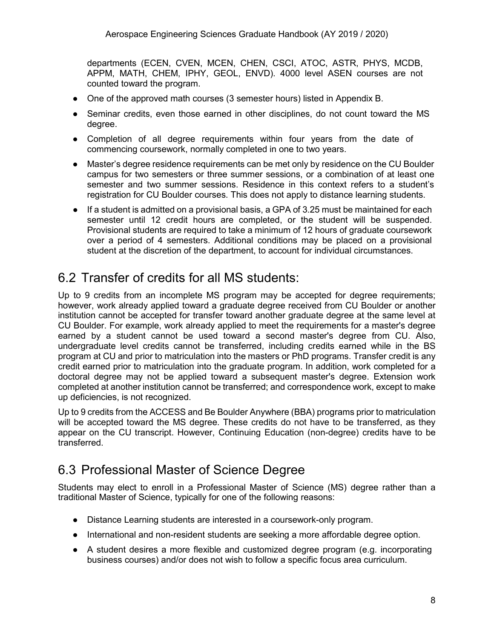departments (ECEN, CVEN, MCEN, CHEN, CSCI, ATOC, ASTR, PHYS, MCDB, APPM, MATH, CHEM, IPHY, GEOL, ENVD). 4000 level ASEN courses are not counted toward the program.

- One of the approved math courses (3 semester hours) listed in [Appendix B.](#page-32-0)
- Seminar credits, even those earned in other disciplines, do not count toward the MS degree.
- Completion of all degree requirements within four years from the date of commencing coursework, normally completed in one to two years.
- Master's degree residence requirements can be met only by residence on the CU Boulder campus for two semesters or three summer sessions, or a combination of at least one semester and two summer sessions. Residence in this context refers to a student's registration for CU Boulder courses. This does not apply to distance learning students.
- If a student is admitted on a provisional basis, a GPA of 3.25 must be maintained for each semester until 12 credit hours are completed, or the student will be suspended. Provisional students are required to take a minimum of 12 hours of graduate coursework over a period of 4 semesters. Additional conditions may be placed on a provisional student at the discretion of the department, to account for individual circumstances.

# <span id="page-8-0"></span>6.2 Transfer of credits for all MS students:

Up to 9 credits from an incomplete MS program may be accepted for degree requirements; however, work already applied toward a graduate degree received from CU Boulder or another institution cannot be accepted for transfer toward another graduate degree at the same level at CU Boulder. For example, work already applied to meet the requirements for a master's degree earned by a student cannot be used toward a second master's degree from CU. Also, undergraduate level credits cannot be transferred, including credits earned while in the BS program at CU and prior to matriculation into the masters or PhD programs. Transfer credit is any credit earned prior to matriculation into the graduate program. In addition, work completed for a doctoral degree may not be applied toward a subsequent master's degree. Extension work completed at another institution cannot be transferred; and correspondence work, except to make up deficiencies, is not recognized.

Up to 9 credits from the ACCESS and Be Boulder Anywhere (BBA) programs prior to matriculation will be accepted toward the MS degree. These credits do not have to be transferred, as they appear on the CU transcript. However, Continuing Education (non-degree) credits have to be transferred.

# <span id="page-8-1"></span>6.3 Professional Master of Science Degree

Students may elect to enroll in a Professional Master of Science (MS) degree rather than a traditional Master of Science, typically for one of the following reasons:

- Distance Learning students are interested in a coursework-only program.
- International and non-resident students are seeking a more affordable degree option.
- A student desires a more flexible and customized degree program (e.g. incorporating business courses) and/or does not wish to follow a specific focus area curriculum.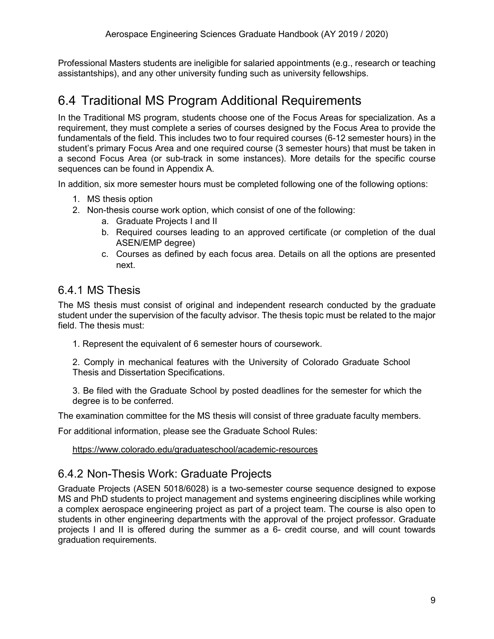Professional Masters students are ineligible for salaried appointments (e.g., research or teaching assistantships), and any other university funding such as university fellowships.

# <span id="page-9-0"></span>6.4 Traditional MS Program Additional Requirements

In the Traditional MS program, students choose one of the Focus Areas for specialization. As a requirement, they must complete a series of courses designed by the Focus Area to provide the fundamentals of the field. This includes two to four required courses (6-12 semester hours) in the student's primary Focus Area and one required course (3 semester hours) that must be taken in a second Focus Area (or sub-track in some instances). More details for the specific course sequences can be found in [Appendix A.](#page-19-0)

In addition, six more semester hours must be completed following one of the following options:

- 1. MS thesis option
- 2. Non-thesis course work option, which consist of one of the following:
	- a. Graduate Projects I and II
	- b. Required courses leading to an approved certificate (or completion of the dual ASEN/EMP degree)
	- c. Courses as defined by each focus area. Details on all the options are presented next.

#### <span id="page-9-1"></span>6.4.1 MS Thesis

The MS thesis must consist of original and independent research conducted by the graduate student under the supervision of the faculty advisor. The thesis topic must be related to the major field. The thesis must:

1. Represent the equivalent of 6 semester hours of coursework.

2. Comply in mechanical features with the University of Colorado Graduate School Thesis and Dissertation Specifications.

3. Be filed with the Graduate School by posted deadlines for the semester for which the degree is to be conferred.

The examination committee for the MS thesis will consist of three graduate faculty members.

For additional information, please see the Graduate School Rules:

<https://www.colorado.edu/graduateschool/academic-resources>

#### <span id="page-9-2"></span>6.4.2 Non-Thesis Work: Graduate Projects

Graduate Projects (ASEN 5018/6028) is a two-semester course sequence designed to expose MS and PhD students to project management and systems engineering disciplines while working a complex aerospace engineering project as part of a project team. The course is also open to students in other engineering departments with the approval of the project professor. Graduate projects I and II is offered during the summer as a 6- credit course, and will count towards graduation requirements.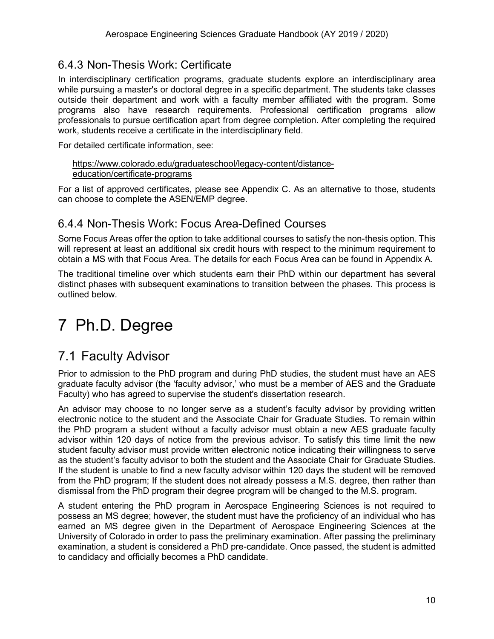### <span id="page-10-0"></span>6.4.3 Non-Thesis Work: Certificate

In interdisciplinary certification programs, graduate students explore an interdisciplinary area while pursuing a master's or doctoral degree in a specific department. The students take classes outside their department and work with a faculty member affiliated with the program. Some programs also have research requirements. Professional certification programs allow professionals to pursue certification apart from degree completion. After completing the required work, students receive a certificate in the interdisciplinary field.

For detailed certificate information, see:

#### [https://www.colorado.edu/graduateschool/legacy-content/distance](https://www.colorado.edu/graduateschool/legacy-content/distance-education/certificate-programs)[education/certificate-programs](https://www.colorado.edu/graduateschool/legacy-content/distance-education/certificate-programs)

For a list of approved certificates, please see [Appendix C.](#page-33-0) As an alternative to those, students can choose to complete the ASEN/EMP degree.

### <span id="page-10-1"></span>6.4.4 Non-Thesis Work: Focus Area-Defined Courses

Some Focus Areas offer the option to take additional courses to satisfy the non-thesis option. This will represent at least an additional six credit hours with respect to the minimum requirement to obtain a MS with that Focus Area. The details for each Focus Area can be found in [Appendix A.](#page-19-0)

The traditional timeline over which students earn their PhD within our department has several distinct phases with subsequent examinations to transition between the phases. This process is outlined below.

# <span id="page-10-2"></span>7 Ph.D. Degree

# <span id="page-10-3"></span>7.1 Faculty Advisor

Prior to admission to the PhD program and during PhD studies, the student must have an AES graduate faculty advisor (the 'faculty advisor,' who must be a member of AES and the Graduate Faculty) who has agreed to supervise the student's dissertation research.

An advisor may choose to no longer serve as a student's faculty advisor by providing written electronic notice to the student and the Associate Chair for Graduate Studies. To remain within the PhD program a student without a faculty advisor must obtain a new AES graduate faculty advisor within 120 days of notice from the previous advisor. To satisfy this time limit the new student faculty advisor must provide written electronic notice indicating their willingness to serve as the student's faculty advisor to both the student and the Associate Chair for Graduate Studies. If the student is unable to find a new faculty advisor within 120 days the student will be removed from the PhD program; If the student does not already possess a M.S. degree, then rather than dismissal from the PhD program their degree program will be changed to the M.S. program.

A student entering the PhD program in Aerospace Engineering Sciences is not required to possess an MS degree; however, the student must have the proficiency of an individual who has earned an MS degree given in the Department of Aerospace Engineering Sciences at the University of Colorado in order to pass the preliminary examination. After passing the preliminary examination, a student is considered a PhD pre-candidate. Once passed, the student is admitted to candidacy and officially becomes a PhD candidate.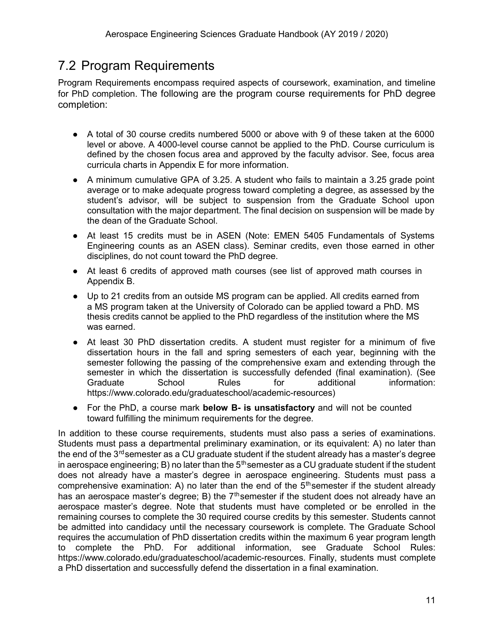# <span id="page-11-0"></span>7.2 Program Requirements

Program Requirements encompass required aspects of coursework, examination, and timeline for PhD completion. The following are the program course requirements for PhD degree completion:

- A total of 30 course credits numbered 5000 or above with 9 of these taken at the 6000 level or above. A 4000-level course cannot be applied to the PhD. Course curriculum is defined by the chosen focus area and approved by the faculty advisor. See, focus area curricula charts in [Appendix E](#page-40-0) for more information.
- A minimum cumulative GPA of 3.25. A student who fails to maintain a 3.25 grade point average or to make adequate progress toward completing a degree, as assessed by the student's advisor, will be subject to suspension from the Graduate School upon consultation with the major department. The final decision on suspension will be made by the dean of the Graduate School.
- At least 15 credits must be in ASEN (Note: EMEN 5405 Fundamentals of Systems Engineering counts as an ASEN class). Seminar credits, even those earned in other disciplines, do not count toward the PhD degree.
- At least 6 credits of approved math courses (see list of approved math courses in [Appendix B.](#page-32-0)
- Up to 21 credits from an outside MS program can be applied. All credits earned from a MS program taken at the University of Colorado can be applied toward a PhD. MS thesis credits cannot be applied to the PhD regardless of the institution where the MS was earned.
- At least 30 PhD dissertation credits. A student must register for a minimum of five dissertation hours in the fall and spring semesters of each year, beginning with the semester following the passing of the comprehensive exam and extending through the semester in which the dissertation is successfully defended (final examination). (See Graduate School Rules for additional information: https://www.colorado.edu/graduateschool/academic-resources)
- For the PhD, a course mark **below B- is unsatisfactory** and will not be counted toward fulfilling the minimum requirements for the degree.

In addition to these course requirements, students must also pass a series of examinations. Students must pass a departmental preliminary examination, or its equivalent: A) no later than the end of the 3 $^{\rm rd}$ semester as a CU graduate student if the student already has a master's degree in aerospace engineering; B) no later than the  $5<sup>th</sup>$ semester as a CU graduate student if the student does not already have a master's degree in aerospace engineering. Students must pass a comprehensive examination: A) no later than the end of the  $5<sup>th</sup>$ semester if the student already has an aerospace master's degree; B) the 7<sup>th</sup>semester if the student does not already have an aerospace master's degree. Note that students must have completed or be enrolled in the remaining courses to complete the 30 required course credits by this semester. Students cannot be admitted into candidacy until the necessary coursework is complete. The Graduate School requires the accumulation of PhD dissertation credits within the maximum 6 year program length to complete the PhD. For additional information, see Graduate School Rules: https://www.colorado.edu/graduateschool/academic-resources. Finally, students must complete a PhD dissertation and successfully defend the dissertation in a final examination.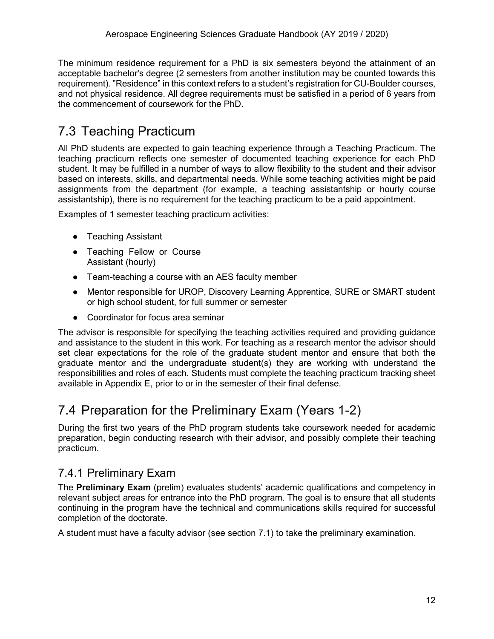The minimum residence requirement for a PhD is six semesters beyond the attainment of an acceptable bachelor's degree (2 semesters from another institution may be counted towards this requirement). "Residence" in this context refers to a student's registration for CU-Boulder courses, and not physical residence. All degree requirements must be satisfied in a period of 6 years from the commencement of coursework for the PhD.

# <span id="page-12-0"></span>7.3 Teaching Practicum

All PhD students are expected to gain teaching experience through a Teaching Practicum. The teaching practicum reflects one semester of documented teaching experience for each PhD student. It may be fulfilled in a number of ways to allow flexibility to the student and their advisor based on interests, skills, and departmental needs. While some teaching activities might be paid assignments from the department (for example, a teaching assistantship or hourly course assistantship), there is no requirement for the teaching practicum to be a paid appointment.

Examples of 1 semester teaching practicum activities:

- Teaching Assistant
- Teaching Fellow or Course Assistant (hourly)
- Team-teaching a course with an AES faculty member
- Mentor responsible for UROP, Discovery Learning Apprentice, SURE or SMART student or high school student, for full summer or semester
- Coordinator for focus area seminar

The advisor is responsible for specifying the teaching activities required and providing guidance and assistance to the student in this work. For teaching as a research mentor the advisor should set clear expectations for the role of the graduate student mentor and ensure that both the graduate mentor and the undergraduate student(s) they are working with understand the responsibilities and roles of each. Students must complete the teaching practicum tracking sheet available in [Appendix E,](#page-40-0) prior to or in the semester of their final defense.

# <span id="page-12-1"></span>7.4 Preparation for the Preliminary Exam (Years 1-2)

During the first two years of the PhD program students take coursework needed for academic preparation, begin conducting research with their advisor, and possibly complete their teaching practicum.

### <span id="page-12-2"></span>7.4.1 Preliminary Exam

The **Preliminary Exam** (prelim) evaluates students' academic qualifications and competency in relevant subject areas for entrance into the PhD program. The goal is to ensure that all students continuing in the program have the technical and communications skills required for successful completion of the doctorate.

A student must have a faculty advisor (see section [7.1\)](#page-10-3) to take the preliminary examination.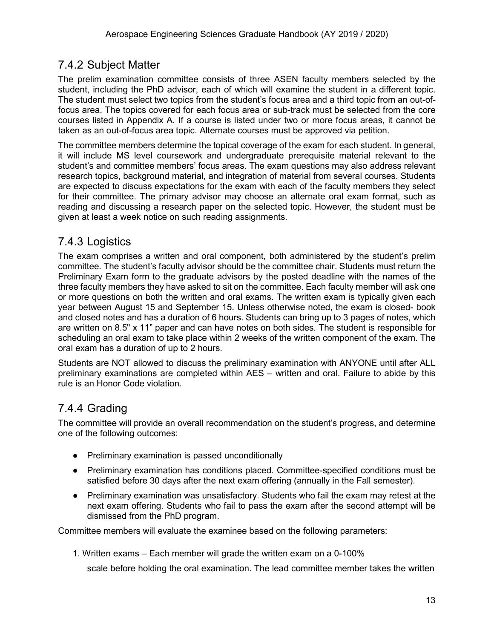### <span id="page-13-0"></span>7.4.2 Subject Matter

The prelim examination committee consists of three ASEN faculty members selected by the student, including the PhD advisor, each of which will examine the student in a different topic. The student must select two topics from the student's focus area and a third topic from an out-offocus area. The topics covered for each focus area or sub-track must be selected from the core courses listed in [Appendix A.](#page-19-0) If a course is listed under two or more focus areas, it cannot be taken as an out-of-focus area topic. Alternate courses must be approved via petition.

The committee members determine the topical coverage of the exam for each student. In general, it will include MS level coursework and undergraduate prerequisite material relevant to the student's and committee members' focus areas. The exam questions may also address relevant research topics, background material, and integration of material from several courses. Students are expected to discuss expectations for the exam with each of the faculty members they select for their committee. The primary advisor may choose an alternate oral exam format, such as reading and discussing a research paper on the selected topic. However, the student must be given at least a week notice on such reading assignments.

### <span id="page-13-1"></span>7.4.3 Logistics

The exam comprises a written and oral component, both administered by the student's prelim committee. The student's faculty advisor should be the committee chair. Students must return the Preliminary Exam form to the graduate advisors by the posted deadline with the names of the three faculty members they have asked to sit on the committee. Each faculty member will ask one or more questions on both the written and oral exams. The written exam is typically given each year between August 15 and September 15. Unless otherwise noted, the exam is closed- book and closed notes and has a duration of 6 hours. Students can bring up to 3 pages of notes, which are written on 8.5" x 11" paper and can have notes on both sides. The student is responsible for scheduling an oral exam to take place within 2 weeks of the written component of the exam. The oral exam has a duration of up to 2 hours.

Students are NOT allowed to discuss the preliminary examination with ANYONE until after ALL preliminary examinations are completed within AES – written and oral. Failure to abide by this rule is an Honor Code violation.

### <span id="page-13-2"></span>7.4.4 Grading

The committee will provide an overall recommendation on the student's progress, and determine one of the following outcomes:

- Preliminary examination is passed unconditionally
- Preliminary examination has conditions placed. Committee-specified conditions must be satisfied before 30 days after the next exam offering (annually in the Fall semester).
- Preliminary examination was unsatisfactory. Students who fail the exam may retest at the next exam offering. Students who fail to pass the exam after the second attempt will be dismissed from the PhD program.

Committee members will evaluate the examinee based on the following parameters:

1. Written exams – Each member will grade the written exam on a 0-100%

scale before holding the oral examination. The lead committee member takes the written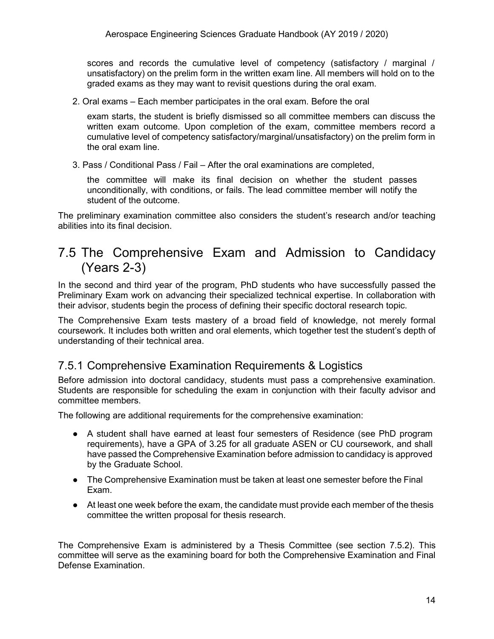scores and records the cumulative level of competency (satisfactory / marginal / unsatisfactory) on the prelim form in the written exam line. All members will hold on to the graded exams as they may want to revisit questions during the oral exam.

2. Oral exams – Each member participates in the oral exam. Before the oral

exam starts, the student is briefly dismissed so all committee members can discuss the written exam outcome. Upon completion of the exam, committee members record a cumulative level of competency satisfactory/marginal/unsatisfactory) on the prelim form in the oral exam line.

3. Pass / Conditional Pass / Fail – After the oral examinations are completed,

the committee will make its final decision on whether the student passes unconditionally, with conditions, or fails. The lead committee member will notify the student of the outcome.

The preliminary examination committee also considers the student's research and/or teaching abilities into its final decision.

## <span id="page-14-0"></span>7.5 The Comprehensive Exam and Admission to Candidacy (Years 2-3)

In the second and third year of the program, PhD students who have successfully passed the Preliminary Exam work on advancing their specialized technical expertise. In collaboration with their advisor, students begin the process of defining their specific doctoral research topic.

The Comprehensive Exam tests mastery of a broad field of knowledge, not merely formal coursework. It includes both written and oral elements, which together test the student's depth of understanding of their technical area.

### <span id="page-14-1"></span>7.5.1 Comprehensive Examination Requirements & Logistics

Before admission into doctoral candidacy, students must pass a comprehensive examination. Students are responsible for scheduling the exam in conjunction with their faculty advisor and committee members.

The following are additional requirements for the comprehensive examination:

- A student shall have earned at least four semesters of Residence (see PhD program requirements), have a GPA of 3.25 for all graduate ASEN or CU coursework, and shall have passed the Comprehensive Examination before admission to candidacy is approved by the Graduate School.
- The Comprehensive Examination must be taken at least one semester before the Final Exam.
- At least one week before the exam, the candidate must provide each member of the thesis committee the written proposal for thesis research.

The Comprehensive Exam is administered by a Thesis Committee (see section [7.5.2\)](#page-15-0). This committee will serve as the examining board for both the Comprehensive Examination and Final Defense Examination.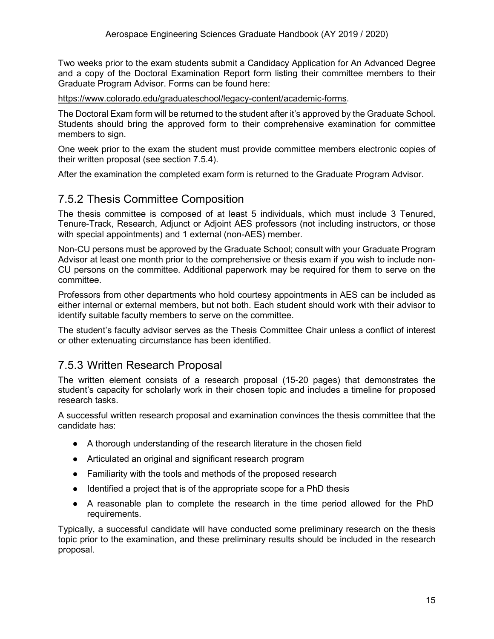Two weeks prior to the exam students submit a Candidacy Application for An Advanced Degree and a copy of the Doctoral Examination Report form listing their committee members to their Graduate Program Advisor. Forms can be found here:

[https://www.colorado.edu/graduateschool/legacy-content/academic-forms.](https://www.colorado.edu/graduateschool/legacy-content/academic-forms)

The Doctoral Exam form will be returned to the student after it's approved by the Graduate School. Students should bring the approved form to their comprehensive examination for committee members to sign.

One week prior to the exam the student must provide committee members electronic copies of their written proposal (see section [7.5.4\)](#page-16-0).

After the examination the completed exam form is returned to the Graduate Program Advisor.

#### <span id="page-15-0"></span>7.5.2 Thesis Committee Composition

The thesis committee is composed of at least 5 individuals, which must include 3 Tenured, Tenure-Track, Research, Adjunct or Adjoint AES professors (not including instructors, or those with special appointments) and 1 external (non-AES) member.

Non-CU persons must be approved by the Graduate School; consult with your Graduate Program Advisor at least one month prior to the comprehensive or thesis exam if you wish to include non-CU persons on the committee. Additional paperwork may be required for them to serve on the committee.

Professors from other departments who hold courtesy appointments in AES can be included as either internal or external members, but not both. Each student should work with their advisor to identify suitable faculty members to serve on the committee.

The student's faculty advisor serves as the Thesis Committee Chair unless a conflict of interest or other extenuating circumstance has been identified.

### <span id="page-15-1"></span>7.5.3 Written Research Proposal

The written element consists of a research proposal (15-20 pages) that demonstrates the student's capacity for scholarly work in their chosen topic and includes a timeline for proposed research tasks.

A successful written research proposal and examination convinces the thesis committee that the candidate has:

- A thorough understanding of the research literature in the chosen field
- Articulated an original and significant research program
- Familiarity with the tools and methods of the proposed research
- Identified a project that is of the appropriate scope for a PhD thesis
- A reasonable plan to complete the research in the time period allowed for the PhD requirements.

Typically, a successful candidate will have conducted some preliminary research on the thesis topic prior to the examination, and these preliminary results should be included in the research proposal.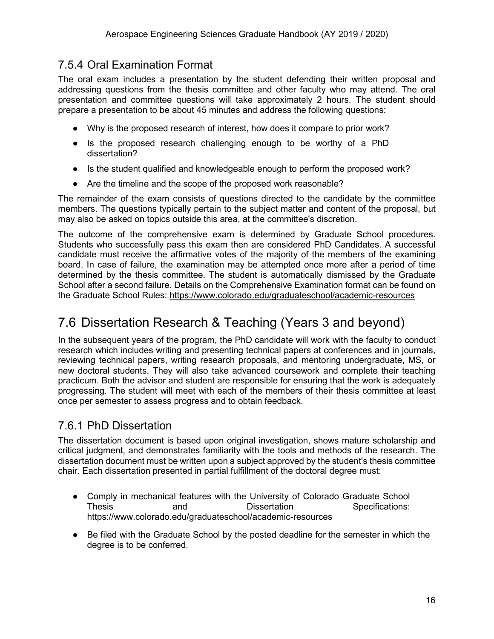### <span id="page-16-0"></span>7.5.4 Oral Examination Format

The oral exam includes a presentation by the student defending their written proposal and addressing questions from the thesis committee and other faculty who may attend. The oral presentation and committee questions will take approximately 2 hours. The student should prepare a presentation to be about 45 minutes and address the following questions:

- Why is the proposed research of interest, how does it compare to prior work?
- Is the proposed research challenging enough to be worthy of a PhD dissertation?
- Is the student qualified and knowledgeable enough to perform the proposed work?
- Are the timeline and the scope of the proposed work reasonable?

The remainder of the exam consists of questions directed to the candidate by the committee members. The questions typically pertain to the subject matter and content of the proposal, but may also be asked on topics outside this area, at the committee's discretion.

The outcome of the comprehensive exam is determined by Graduate School procedures. Students who successfully pass this exam then are considered PhD Candidates. A successful candidate must receive the affirmative votes of the majority of the members of the examining board. In case of failure, the examination may be attempted once more after a period of time determined by the thesis committee. The student is automatically dismissed by the Graduate School after a second failure. Details on the Comprehensive Examination format can be found on the Graduate School Rules:<https://www.colorado.edu/graduateschool/academic-resources>

# <span id="page-16-1"></span>7.6 Dissertation Research & Teaching (Years 3 and beyond)

In the subsequent years of the program, the PhD candidate will work with the faculty to conduct research which includes writing and presenting technical papers at conferences and in journals, reviewing technical papers, writing research proposals, and mentoring undergraduate, MS, or new doctoral students. They will also take advanced coursework and complete their teaching practicum. Both the advisor and student are responsible for ensuring that the work is adequately progressing. The student will meet with each of the members of their thesis committee at least once per semester to assess progress and to obtain feedback.

### <span id="page-16-2"></span>7.6.1 PhD Dissertation

The dissertation document is based upon original investigation, shows mature scholarship and critical judgment, and demonstrates familiarity with the tools and methods of the research. The dissertation document must be written upon a subject approved by the student's thesis committee chair. Each dissertation presented in partial fulfillment of the doctoral degree must:

- Comply in mechanical features with the University of Colorado Graduate School Thesis and Dissertation Specifications: https://www.colorado.edu/graduateschool/academic-resources
- Be filed with the Graduate School by the posted deadline for the semester in which the degree is to be conferred.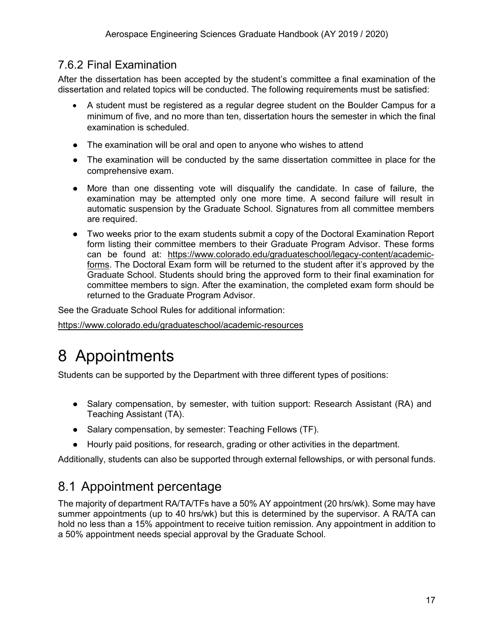### <span id="page-17-0"></span>7.6.2 Final Examination

After the dissertation has been accepted by the student's committee a final examination of the dissertation and related topics will be conducted. The following requirements must be satisfied:

- A student must be registered as a regular degree student on the Boulder Campus for a minimum of five, and no more than ten, dissertation hours the semester in which the final examination is scheduled.
- The examination will be oral and open to anyone who wishes to attend
- The examination will be conducted by the same dissertation committee in place for the comprehensive exam.
- More than one dissenting vote will disqualify the candidate. In case of failure, the examination may be attempted only one more time. A second failure will result in automatic suspension by the Graduate School. Signatures from all committee members are required.
- Two weeks prior to the exam students submit a copy of the Doctoral Examination Report form listing their committee members to their Graduate Program Advisor. These forms can be found at: [https://www.colorado.edu/graduateschool/legacy-content/academic](https://www.colorado.edu/graduateschool/legacy-content/academic-forms)[forms.](https://www.colorado.edu/graduateschool/legacy-content/academic-forms) The Doctoral Exam form will be returned to the student after it's approved by the Graduate School. Students should bring the approved form to their final examination for committee members to sign. After the examination, the completed exam form should be returned to the Graduate Program Advisor.

See the Graduate School Rules for additional information:

<https://www.colorado.edu/graduateschool/academic-resources>

# <span id="page-17-1"></span>8 Appointments

Students can be supported by the Department with three different types of positions:

- Salary compensation, by semester, with tuition support: Research Assistant (RA) and Teaching Assistant (TA).
- Salary compensation, by semester: Teaching Fellows (TF).
- Hourly paid positions, for research, grading or other activities in the department.

Additionally, students can also be supported through external fellowships, or with personal funds.

# <span id="page-17-2"></span>8.1 Appointment percentage

The majority of department RA/TA/TFs have a 50% AY appointment (20 hrs/wk). Some may have summer appointments (up to 40 hrs/wk) but this is determined by the supervisor. A RA/TA can hold no less than a 15% appointment to receive tuition remission. Any appointment in addition to a 50% appointment needs special approval by the Graduate School.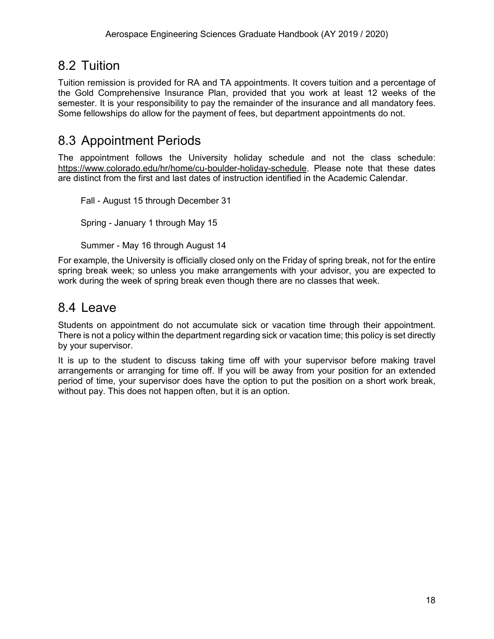## <span id="page-18-0"></span>8.2 Tuition

Tuition remission is provided for RA and TA appointments. It covers tuition and a percentage of the Gold Comprehensive Insurance Plan, provided that you work at least 12 weeks of the semester. It is your responsibility to pay the remainder of the insurance and all mandatory fees. Some fellowships do allow for the payment of fees, but department appointments do not.

## <span id="page-18-1"></span>8.3 Appointment Periods

The appointment follows the University holiday schedule and not the class schedule: [https://www.colorado.edu/hr/home/cu-boulder-holiday-schedule.](https://www.colorado.edu/hr/home/cu-boulder-holiday-schedule) Please note that these dates are distinct from the first and last dates of instruction identified in the Academic Calendar.

Fall - August 15 through December 31 Spring - January 1 through May 15

Summer - May 16 through August 14

For example, the University is officially closed only on the Friday of spring break, not for the entire spring break week; so unless you make arrangements with your advisor, you are expected to work during the week of spring break even though there are no classes that week.

### <span id="page-18-2"></span>8.4 Leave

Students on appointment do not accumulate sick or vacation time through their appointment. There is not a policy within the department regarding sick or vacation time; this policy is set directly by your supervisor.

It is up to the student to discuss taking time off with your supervisor before making travel arrangements or arranging for time off. If you will be away from your position for an extended period of time, your supervisor does have the option to put the position on a short work break, without pay. This does not happen often, but it is an option.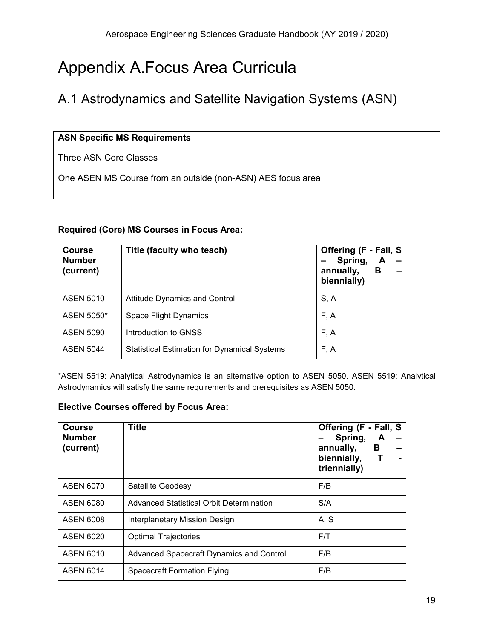# <span id="page-19-0"></span>Appendix A.Focus Area Curricula

# <span id="page-19-1"></span>A.1 Astrodynamics and Satellite Navigation Systems (ASN)

#### **ASN Specific MS Requirements**

Three ASN Core Classes

One ASEN MS Course from an outside (non-ASN) AES focus area

#### **Required (Core) MS Courses in Focus Area:**

| <b>Course</b><br><b>Number</b><br>(current) | Title (faculty who teach)                           | Offering (F - Fall, S<br>Spring,<br>A<br>В<br>annually,<br>biennially) |
|---------------------------------------------|-----------------------------------------------------|------------------------------------------------------------------------|
| <b>ASEN 5010</b>                            | <b>Attitude Dynamics and Control</b>                | S, A                                                                   |
| ASEN 5050*                                  | Space Flight Dynamics                               | F, A                                                                   |
| <b>ASEN 5090</b>                            | Introduction to GNSS                                | F, A                                                                   |
| <b>ASEN 5044</b>                            | <b>Statistical Estimation for Dynamical Systems</b> | F, A                                                                   |

\*ASEN 5519: Analytical Astrodynamics is an alternative option to ASEN 5050. ASEN 5519: Analytical Astrodynamics will satisfy the same requirements and prerequisites as ASEN 5050.

#### **Elective Courses offered by Focus Area:**

| <b>Course</b><br><b>Number</b><br>(current) | <b>Title</b>                             | Offering (F - Fall, S<br>Spring,<br>A<br>В<br>annually,<br>biennially,<br>triennially) |
|---------------------------------------------|------------------------------------------|----------------------------------------------------------------------------------------|
| <b>ASEN 6070</b>                            | Satellite Geodesy                        | F/B                                                                                    |
| <b>ASEN 6080</b>                            | Advanced Statistical Orbit Determination | S/A                                                                                    |
| <b>ASEN 6008</b>                            | Interplanetary Mission Design            | A, S                                                                                   |
| <b>ASEN 6020</b>                            | <b>Optimal Trajectories</b>              | F/T                                                                                    |
| <b>ASEN 6010</b>                            | Advanced Spacecraft Dynamics and Control | F/B                                                                                    |
| <b>ASEN 6014</b>                            | Spacecraft Formation Flying              | F/B                                                                                    |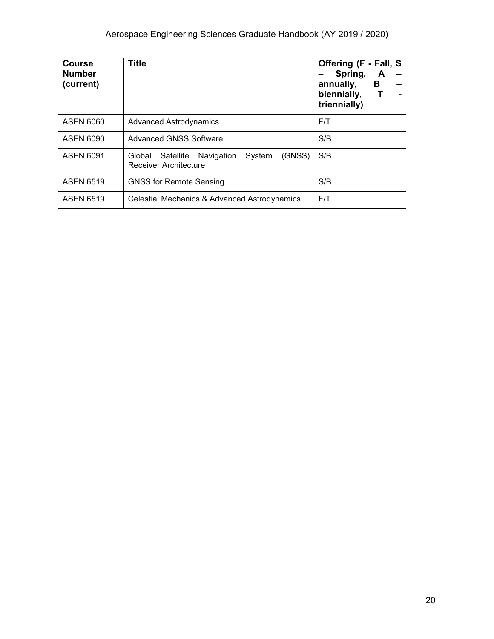| <b>Course</b><br><b>Number</b><br>(current) | <b>Title</b>                                                                    | Offering (F - Fall, S<br>Spring,<br>A<br>В<br>annually,<br>biennially,<br>triennially) |
|---------------------------------------------|---------------------------------------------------------------------------------|----------------------------------------------------------------------------------------|
| <b>ASEN 6060</b>                            | <b>Advanced Astrodynamics</b>                                                   | F/T                                                                                    |
| ASEN 6090                                   | <b>Advanced GNSS Software</b>                                                   | S/B                                                                                    |
| <b>ASEN 6091</b>                            | (GNSS)<br>System<br>Global Satellite Navigation<br><b>Receiver Architecture</b> | S/B                                                                                    |
| <b>ASEN 6519</b>                            | <b>GNSS for Remote Sensing</b>                                                  | S/B                                                                                    |
| <b>ASEN 6519</b>                            | Celestial Mechanics & Advanced Astrodynamics                                    | F/T                                                                                    |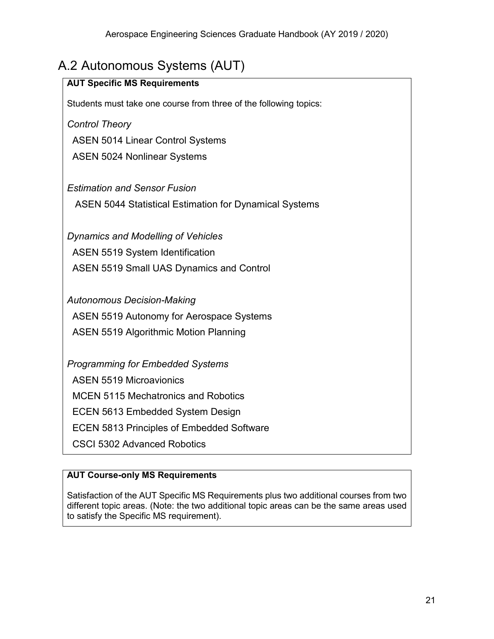# <span id="page-21-0"></span>A.2 Autonomous Systems (AUT)

| <b>AUT Specific MS Requirements</b>                               |
|-------------------------------------------------------------------|
| Students must take one course from three of the following topics: |
| <b>Control Theory</b>                                             |
| <b>ASEN 5014 Linear Control Systems</b>                           |
| <b>ASEN 5024 Nonlinear Systems</b>                                |
|                                                                   |
| <b>Estimation and Sensor Fusion</b>                               |
| <b>ASEN 5044 Statistical Estimation for Dynamical Systems</b>     |
|                                                                   |
| <b>Dynamics and Modelling of Vehicles</b>                         |
| <b>ASEN 5519 System Identification</b>                            |
| ASEN 5519 Small UAS Dynamics and Control                          |
|                                                                   |
| <b>Autonomous Decision-Making</b>                                 |
| ASEN 5519 Autonomy for Aerospace Systems                          |
| <b>ASEN 5519 Algorithmic Motion Planning</b>                      |
|                                                                   |
| <b>Programming for Embedded Systems</b>                           |
| <b>ASEN 5519 Microavionics</b>                                    |
| <b>MCEN 5115 Mechatronics and Robotics</b>                        |
| <b>ECEN 5613 Embedded System Design</b>                           |
| <b>ECEN 5813 Principles of Embedded Software</b>                  |
| <b>CSCI 5302 Advanced Robotics</b>                                |

#### **AUT Course-only MS Requirements**

Satisfaction of the AUT Specific MS Requirements plus two additional courses from two different topic areas. (Note: the two additional topic areas can be the same areas used to satisfy the Specific MS requirement).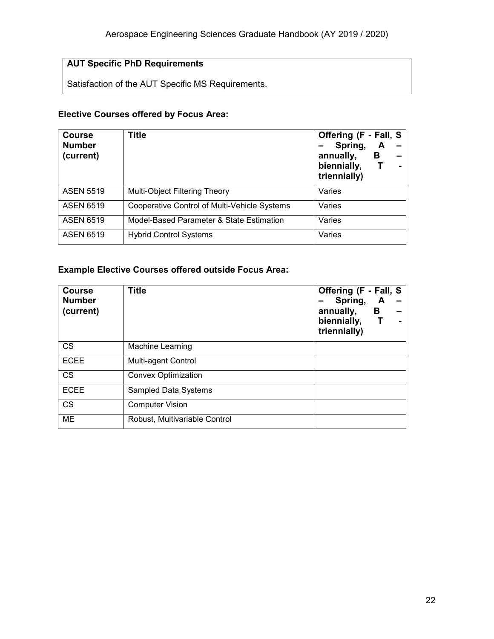#### **AUT Specific PhD Requirements**

Satisfaction of the AUT Specific MS Requirements.

#### **Elective Courses offered by Focus Area:**

| <b>Course</b><br><b>Number</b><br>(current) | <b>Title</b>                                 | Offering (F - Fall, S<br>Spring,<br>A<br>annually,<br>В<br>biennially,<br>triennially) |
|---------------------------------------------|----------------------------------------------|----------------------------------------------------------------------------------------|
| <b>ASEN 5519</b>                            | <b>Multi-Object Filtering Theory</b>         | Varies                                                                                 |
| <b>ASEN 6519</b>                            | Cooperative Control of Multi-Vehicle Systems | Varies                                                                                 |
| <b>ASEN 6519</b>                            | Model-Based Parameter & State Estimation     | Varies                                                                                 |
| <b>ASEN 6519</b>                            | <b>Hybrid Control Systems</b>                | Varies                                                                                 |

#### **Example Elective Courses offered outside Focus Area:**

| <b>Course</b><br><b>Number</b><br>(current) | <b>Title</b>                  | Offering (F - Fall, S<br>Spring,<br>annually,<br>biennially,<br>triennially) | A<br>В |  |
|---------------------------------------------|-------------------------------|------------------------------------------------------------------------------|--------|--|
| <b>CS</b>                                   | Machine Learning              |                                                                              |        |  |
| <b>ECEE</b>                                 | Multi-agent Control           |                                                                              |        |  |
| <b>CS</b>                                   | <b>Convex Optimization</b>    |                                                                              |        |  |
| <b>ECEE</b>                                 | <b>Sampled Data Systems</b>   |                                                                              |        |  |
| <b>CS</b>                                   | <b>Computer Vision</b>        |                                                                              |        |  |
| <b>ME</b>                                   | Robust, Multivariable Control |                                                                              |        |  |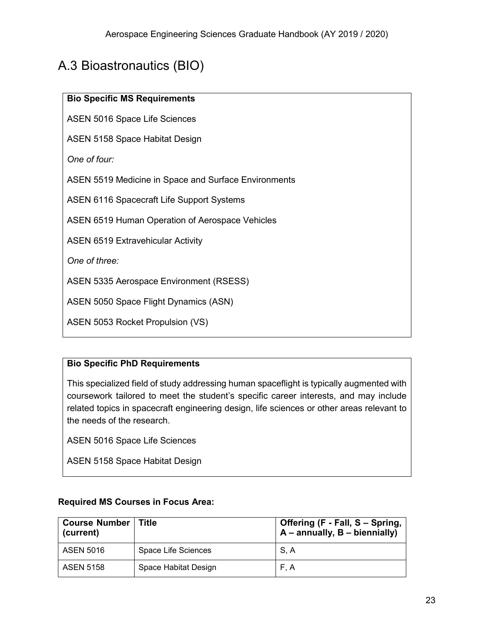# <span id="page-23-0"></span>A.3 Bioastronautics (BIO)

| <b>Bio Specific MS Requirements</b> |  |
|-------------------------------------|--|
|-------------------------------------|--|

ASEN 5016 Space Life Sciences

ASEN 5158 Space Habitat Design

*One of four:* 

ASEN 5519 Medicine in Space and Surface Environments

ASEN 6116 Spacecraft Life Support Systems

ASEN 6519 Human Operation of Aerospace Vehicles

ASEN 6519 Extravehicular Activity

*One of three:*

ASEN 5335 Aerospace Environment (RSESS)

ASEN 5050 Space Flight Dynamics (ASN)

ASEN 5053 Rocket Propulsion (VS)

#### **Bio Specific PhD Requirements**

This specialized field of study addressing human spaceflight is typically augmented with coursework tailored to meet the student's specific career interests, and may include related topics in spacecraft engineering design, life sciences or other areas relevant to the needs of the research.

ASEN 5016 Space Life Sciences

ASEN 5158 Space Habitat Design

|  | <b>Required MS Courses in Focus Area:</b> |  |  |
|--|-------------------------------------------|--|--|
|  |                                           |  |  |

| <b>Course Number   Title</b><br>(current) |                      | Offering (F - Fall, S - Spring,<br>$A$ – annually, $B$ – biennially) |
|-------------------------------------------|----------------------|----------------------------------------------------------------------|
| <b>ASEN 5016</b>                          | Space Life Sciences  | S, A                                                                 |
| ASEN 5158                                 | Space Habitat Design | F.A                                                                  |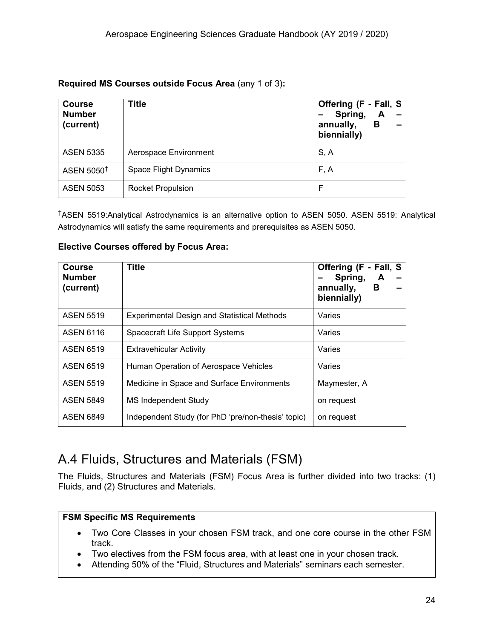| Required MS Courses outside Focus Area (any 1 of 3): |  |  |  |  |  |  |
|------------------------------------------------------|--|--|--|--|--|--|
|------------------------------------------------------|--|--|--|--|--|--|

| <b>Course</b><br><b>Number</b><br>(current) | Title                    | Offering (F - Fall, S<br>Spring,<br>annually,<br>в<br>biennially) |
|---------------------------------------------|--------------------------|-------------------------------------------------------------------|
| <b>ASEN 5335</b>                            | Aerospace Environment    | S, A                                                              |
| ASEN 5050 <sup>†</sup>                      | Space Flight Dynamics    | F, A                                                              |
| <b>ASEN 5053</b>                            | <b>Rocket Propulsion</b> | F                                                                 |

†ASEN 5519:Analytical Astrodynamics is an alternative option to ASEN 5050. ASEN 5519: Analytical Astrodynamics will satisfy the same requirements and prerequisites as ASEN 5050.

| <b>Course</b><br><b>Number</b><br>(current) | Title                                              | Offering (F - Fall, S<br>Spring,<br>A<br>annually,<br>B<br>biennially) |  |
|---------------------------------------------|----------------------------------------------------|------------------------------------------------------------------------|--|
| <b>ASEN 5519</b>                            | <b>Experimental Design and Statistical Methods</b> | Varies                                                                 |  |
| <b>ASEN 6116</b>                            | Spacecraft Life Support Systems                    | Varies                                                                 |  |
| <b>ASEN 6519</b>                            | <b>Extravehicular Activity</b>                     | Varies                                                                 |  |
| <b>ASEN 6519</b>                            | Human Operation of Aerospace Vehicles              | Varies                                                                 |  |
| <b>ASEN 5519</b>                            | Medicine in Space and Surface Environments         | Maymester, A                                                           |  |
| <b>ASEN 5849</b>                            | MS Independent Study                               | on request                                                             |  |
| <b>ASEN 6849</b>                            | Independent Study (for PhD 'pre/non-thesis' topic) | on request                                                             |  |

#### **Elective Courses offered by Focus Area:**

# <span id="page-24-0"></span>A.4 Fluids, Structures and Materials (FSM)

The Fluids, Structures and Materials (FSM) Focus Area is further divided into two tracks: (1) Fluids, and (2) Structures and Materials.

#### **FSM Specific MS Requirements**

- Two Core Classes in your chosen FSM track, and one core course in the other FSM track.
- Two electives from the FSM focus area, with at least one in your chosen track.
- Attending 50% of the "Fluid, Structures and Materials" seminars each semester.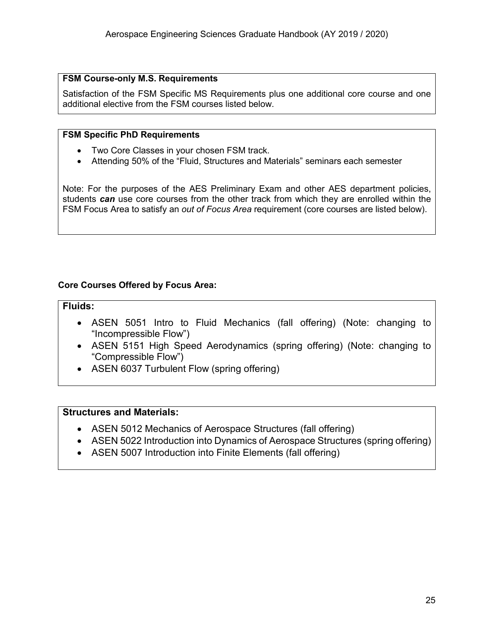#### **FSM Course-only M.S. Requirements**

Satisfaction of the FSM Specific MS Requirements plus one additional core course and one additional elective from the FSM courses listed below.

#### **FSM Specific PhD Requirements**

- Two Core Classes in your chosen FSM track.
- Attending 50% of the "Fluid, Structures and Materials" seminars each semester

Note: For the purposes of the AES Preliminary Exam and other AES department policies, students *can* use core courses from the other track from which they are enrolled within the FSM Focus Area to satisfy an *out of Focus Area* requirement (core courses are listed below).

#### **Core Courses Offered by Focus Area:**

#### **Fluids:**

- ASEN 5051 Intro to Fluid Mechanics (fall offering) (Note: changing to "Incompressible Flow")
- ASEN 5151 High Speed Aerodynamics (spring offering) (Note: changing to "Compressible Flow")
- ASEN 6037 Turbulent Flow (spring offering)

#### **Structures and Materials:**

- ASEN 5012 Mechanics of Aerospace Structures (fall offering)
- ASEN 5022 Introduction into Dynamics of Aerospace Structures (spring offering)
- ASEN 5007 Introduction into Finite Elements (fall offering)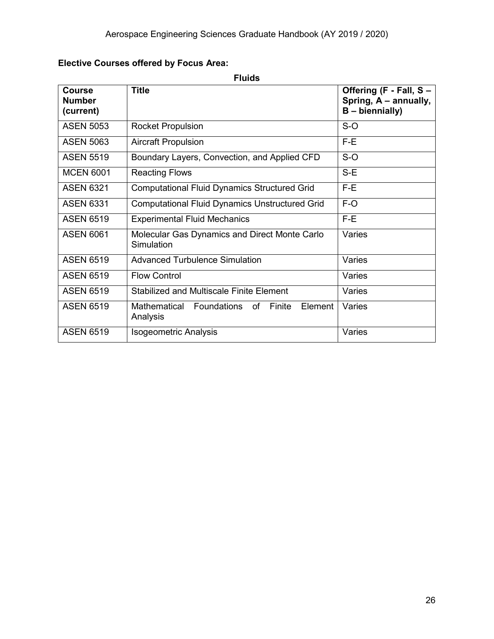### **Elective Courses offered by Focus Area:**

**Fluids**

| <b>Course</b><br><b>Number</b><br>(current) | <b>Title</b>                                                | Offering (F - Fall, S -<br>Spring, A – annually,<br>B - biennially) |
|---------------------------------------------|-------------------------------------------------------------|---------------------------------------------------------------------|
| <b>ASEN 5053</b>                            | <b>Rocket Propulsion</b>                                    | $S-O$                                                               |
| <b>ASEN 5063</b>                            | <b>Aircraft Propulsion</b>                                  | $F-E$                                                               |
| <b>ASEN 5519</b>                            | Boundary Layers, Convection, and Applied CFD                | $S-O$                                                               |
| <b>MCEN 6001</b>                            | <b>Reacting Flows</b>                                       | $S-E$                                                               |
| <b>ASEN 6321</b>                            | <b>Computational Fluid Dynamics Structured Grid</b>         | $F-E$                                                               |
| <b>ASEN 6331</b>                            | <b>Computational Fluid Dynamics Unstructured Grid</b>       | $F-O$                                                               |
| <b>ASEN 6519</b>                            | <b>Experimental Fluid Mechanics</b>                         | $F-E$                                                               |
| <b>ASEN 6061</b>                            | Molecular Gas Dynamics and Direct Monte Carlo<br>Simulation | Varies                                                              |
| <b>ASEN 6519</b>                            | <b>Advanced Turbulence Simulation</b>                       | Varies                                                              |
| <b>ASEN 6519</b>                            | <b>Flow Control</b>                                         | Varies                                                              |
| <b>ASEN 6519</b>                            | <b>Stabilized and Multiscale Finite Element</b>             | Varies                                                              |
| <b>ASEN 6519</b>                            | Mathematical Foundations of Finite<br>Element<br>Analysis   | Varies                                                              |
| <b>ASEN 6519</b>                            | <b>Isogeometric Analysis</b>                                | Varies                                                              |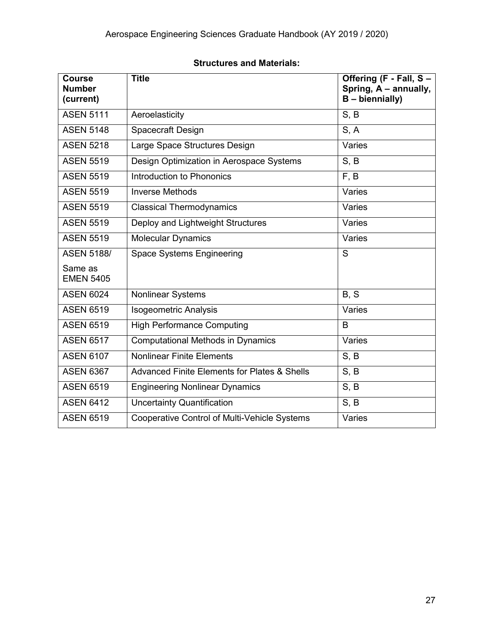#### **Structures and Materials:**

| <b>Course</b><br><b>Number</b><br>(current) | <b>Title</b>                                            | Offering (F - Fall, S -<br>Spring, A - annually,<br>$B - biennially)$ |
|---------------------------------------------|---------------------------------------------------------|-----------------------------------------------------------------------|
| <b>ASEN 5111</b>                            | Aeroelasticity                                          | S, B                                                                  |
| <b>ASEN 5148</b>                            | <b>Spacecraft Design</b>                                | S, A                                                                  |
| <b>ASEN 5218</b>                            | Large Space Structures Design                           | Varies                                                                |
| <b>ASEN 5519</b>                            | Design Optimization in Aerospace Systems                | S, B                                                                  |
| <b>ASEN 5519</b>                            | Introduction to Phononics                               | F, B                                                                  |
| <b>ASEN 5519</b>                            | <b>Inverse Methods</b>                                  | Varies                                                                |
| <b>ASEN 5519</b>                            | <b>Classical Thermodynamics</b>                         | Varies                                                                |
| <b>ASEN 5519</b>                            | Deploy and Lightweight Structures                       | Varies                                                                |
| <b>ASEN 5519</b>                            | <b>Molecular Dynamics</b>                               | Varies                                                                |
| <b>ASEN 5188/</b>                           | <b>Space Systems Engineering</b>                        | S                                                                     |
| Same as<br><b>EMEN 5405</b>                 |                                                         |                                                                       |
| <b>ASEN 6024</b>                            | <b>Nonlinear Systems</b>                                | B, S                                                                  |
| <b>ASEN 6519</b>                            | <b>Isogeometric Analysis</b>                            | Varies                                                                |
| <b>ASEN 6519</b>                            | <b>High Performance Computing</b>                       | B                                                                     |
| <b>ASEN 6517</b>                            | <b>Computational Methods in Dynamics</b>                | Varies                                                                |
| <b>ASEN 6107</b>                            | <b>Nonlinear Finite Elements</b>                        | S, B                                                                  |
| <b>ASEN 6367</b>                            | <b>Advanced Finite Elements for Plates &amp; Shells</b> | S, B                                                                  |
| <b>ASEN 6519</b>                            | <b>Engineering Nonlinear Dynamics</b>                   | S, B                                                                  |
| <b>ASEN 6412</b>                            | <b>Uncertainty Quantification</b>                       | S, B                                                                  |
| <b>ASEN 6519</b>                            | <b>Cooperative Control of Multi-Vehicle Systems</b>     | Varies                                                                |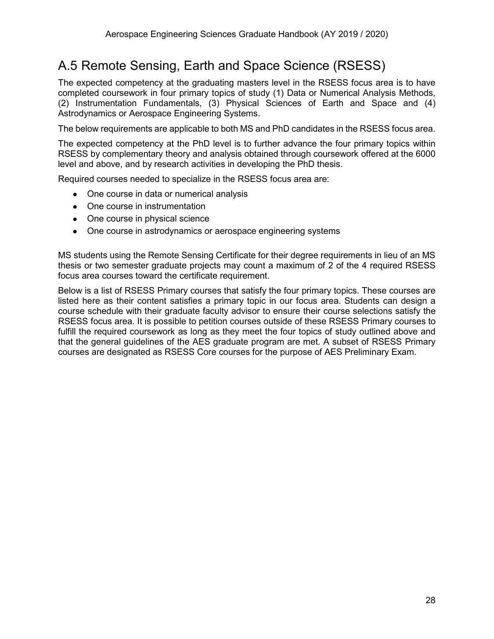# <span id="page-28-0"></span>A.5 Remote Sensing, Earth and Space Science (RSESS)

The expected competency at the graduating masters level in the RSESS focus area is to have completed coursework in four primary topics of study (1) Data or Numerical Analysis Methods, (2) Instrumentation Fundamentals, (3) Physical Sciences of Earth and Space and (4) Astrodynamics or Aerospace Engineering Systems.

The below requirements are applicable to both MS and PhD candidates in the RSESS focus area.

The expected competency at the PhD level is to further advance the four primary topics within RSESS by complementary theory and analysis obtained through coursework offered at the 6000 level and above, and by research activities in developing the PhD thesis.

Required courses needed to specialize in the RSESS focus area are:

- One course in data or numerical analysis
- One course in instrumentation
- One course in physical science
- One course in astrodynamics or aerospace engineering systems

MS students using the Remote Sensing Certificate for their degree requirements in lieu of an MS thesis or two semester graduate projects may count a maximum of 2 of the 4 required RSESS focus area courses toward the certificate requirement.

Below is a list of RSESS Primary courses that satisfy the four primary topics. These courses are listed here as their content satisfies a primary topic in our focus area. Students can design a course schedule with their graduate faculty advisor to ensure their course selections satisfy the RSESS focus area. It is possible to petition courses outside of these RSESS Primary courses to fulfill the required coursework as long as they meet the four topics of study outlined above and that the general guidelines of the AES graduate program are met. A subset of RSESS Primary courses are designated as RSESS Core courses for the purpose of AES Preliminary Exam.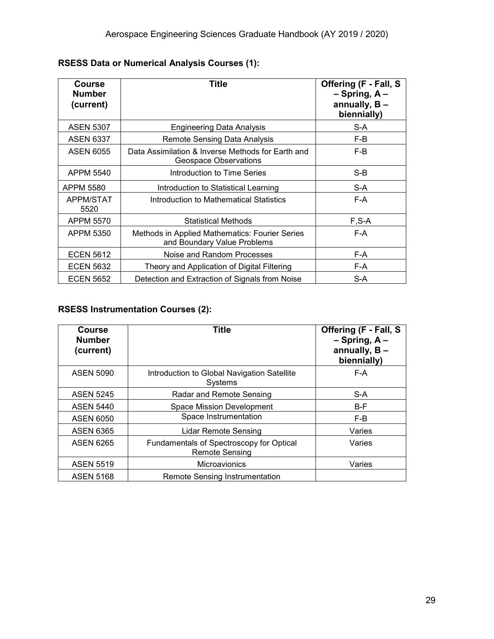| Course<br><b>Number</b><br>(current) | Title                                                                         | Offering (F - Fall, S<br>$-$ Spring, A $-$<br>annually, $B -$<br>biennially) |
|--------------------------------------|-------------------------------------------------------------------------------|------------------------------------------------------------------------------|
| <b>ASEN 5307</b>                     | <b>Engineering Data Analysis</b>                                              | S-A                                                                          |
| <b>ASEN 6337</b>                     | Remote Sensing Data Analysis                                                  | F-B                                                                          |
| <b>ASEN 6055</b>                     | Data Assimilation & Inverse Methods for Earth and<br>Geospace Observations    | F-B                                                                          |
| APPM 5540                            | Introduction to Time Series                                                   | $S-B$                                                                        |
| <b>APPM 5580</b>                     | Introduction to Statistical Learning                                          | S-A                                                                          |
| <b>APPM/STAT</b><br>5520             | Introduction to Mathematical Statistics                                       | F-A                                                                          |
| APPM 5570                            | <b>Statistical Methods</b>                                                    | $F, S-A$                                                                     |
| APPM 5350                            | Methods in Applied Mathematics: Fourier Series<br>and Boundary Value Problems | F-A                                                                          |
| <b>ECEN 5612</b>                     | Noise and Random Processes                                                    | F-A                                                                          |
| <b>ECEN 5632</b>                     | Theory and Application of Digital Filtering                                   | F-A                                                                          |
| <b>ECEN 5652</b>                     | Detection and Extraction of Signals from Noise                                | S-A                                                                          |

#### **RSESS Data or Numerical Analysis Courses (1):**

#### **RSESS Instrumentation Courses (2):**

| <b>Course</b><br><b>Number</b><br>(current) | <b>Title</b>                                                      | Offering (F - Fall, S<br>$-$ Spring, A $-$<br>annually, $B -$<br>biennially) |
|---------------------------------------------|-------------------------------------------------------------------|------------------------------------------------------------------------------|
| <b>ASEN 5090</b>                            | Introduction to Global Navigation Satellite<br>Systems            | F-A                                                                          |
| <b>ASEN 5245</b>                            | Radar and Remote Sensing                                          | S-A                                                                          |
| <b>ASEN 5440</b>                            | <b>Space Mission Development</b>                                  | $B-F$                                                                        |
| <b>ASEN 6050</b>                            | Space Instrumentation                                             | F-B                                                                          |
| <b>ASEN 6365</b>                            | <b>Lidar Remote Sensing</b>                                       | Varies                                                                       |
| <b>ASEN 6265</b>                            | Fundamentals of Spectroscopy for Optical<br><b>Remote Sensing</b> | Varies                                                                       |
| <b>ASEN 5519</b>                            | Microavionics                                                     | Varies                                                                       |
| <b>ASEN 5168</b>                            | <b>Remote Sensing Instrumentation</b>                             |                                                                              |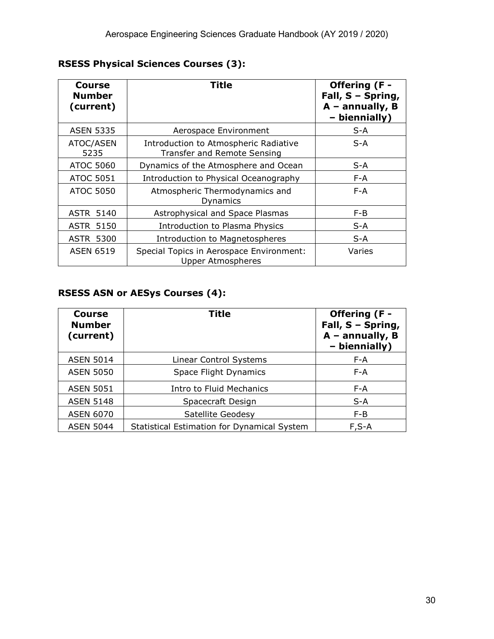| Course<br><b>Number</b><br>(current) | <b>Title</b>                                                                | Offering (F -<br>Fall, S - Spring,<br>$A$ – annually, B<br>- biennially) |
|--------------------------------------|-----------------------------------------------------------------------------|--------------------------------------------------------------------------|
| <b>ASEN 5335</b>                     | Aerospace Environment                                                       | S-A                                                                      |
| ATOC/ASEN<br>5235                    | Introduction to Atmospheric Radiative<br><b>Transfer and Remote Sensing</b> | $S-A$                                                                    |
| ATOC 5060                            | Dynamics of the Atmosphere and Ocean                                        | S-A                                                                      |
| <b>ATOC 5051</b>                     | Introduction to Physical Oceanography                                       | $F - A$                                                                  |
| ATOC 5050                            | Atmospheric Thermodynamics and<br>Dynamics                                  | $F - A$                                                                  |
| <b>ASTR 5140</b>                     | Astrophysical and Space Plasmas                                             | $F-B$                                                                    |
| <b>ASTR 5150</b>                     | Introduction to Plasma Physics                                              | S-A                                                                      |
| <b>ASTR 5300</b>                     | Introduction to Magnetospheres                                              | S-A                                                                      |
| <b>ASEN 6519</b>                     | Special Topics in Aerospace Environment:<br><b>Upper Atmospheres</b>        | Varies                                                                   |

### **RSESS Physical Sciences Courses (3):**

#### **RSESS ASN or AESys Courses (4):**

| <b>Course</b><br><b>Number</b><br>(current) | Title                                       | Offering (F -<br>Fall, S - Spring,<br>$A$ – annually, B<br>- biennially) |
|---------------------------------------------|---------------------------------------------|--------------------------------------------------------------------------|
| <b>ASEN 5014</b>                            | Linear Control Systems                      | F-A                                                                      |
| <b>ASEN 5050</b>                            | Space Flight Dynamics                       | $F - A$                                                                  |
| <b>ASEN 5051</b>                            | Intro to Fluid Mechanics                    | F-A                                                                      |
| <b>ASEN 5148</b>                            | Spacecraft Design                           | $S-A$                                                                    |
| <b>ASEN 6070</b>                            | Satellite Geodesy                           | $F-B$                                                                    |
| <b>ASEN 5044</b>                            | Statistical Estimation for Dynamical System | $F, S-A$                                                                 |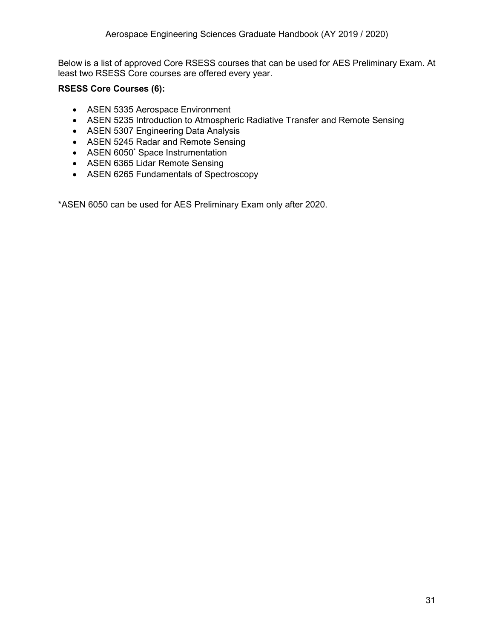Below is a list of approved Core RSESS courses that can be used for AES Preliminary Exam. At least two RSESS Core courses are offered every year.

#### **RSESS Core Courses (6):**

- ASEN 5335 Aerospace Environment
- ASEN 5235 Introduction to Atmospheric Radiative Transfer and Remote Sensing
- ASEN 5307 Engineering Data Analysis
- ASEN 5245 Radar and Remote Sensing
- ASEN 6050<sup>\*</sup> Space Instrumentation
- ASEN 6365 Lidar Remote Sensing
- ASEN 6265 Fundamentals of Spectroscopy

\*ASEN 6050 can be used for AES Preliminary Exam only after 2020.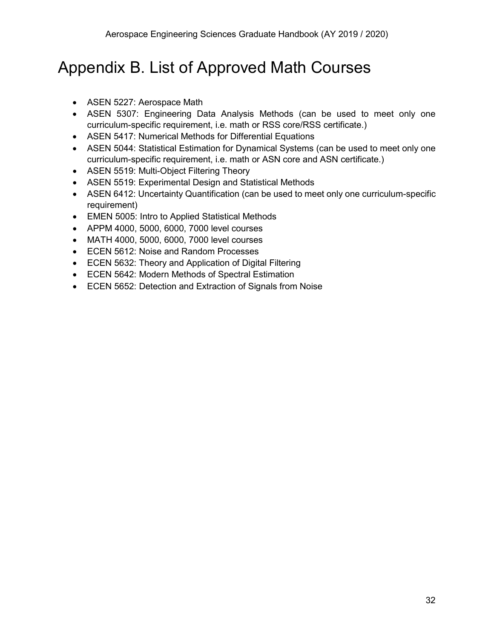# <span id="page-32-0"></span>Appendix B. List of Approved Math Courses

- ASEN 5227: Aerospace Math
- ASEN 5307: Engineering Data Analysis Methods (can be used to meet only one curriculum-specific requirement, i.e. math or RSS core/RSS certificate.)
- ASEN 5417: Numerical Methods for Differential Equations
- ASEN 5044: Statistical Estimation for Dynamical Systems (can be used to meet only one curriculum-specific requirement, i.e. math or ASN core and ASN certificate.)
- ASEN 5519: Multi-Object Filtering Theory
- ASEN 5519: Experimental Design and Statistical Methods
- ASEN 6412: Uncertainty Quantification (can be used to meet only one curriculum-specific requirement)
- EMEN 5005: Intro to Applied Statistical Methods
- APPM 4000, 5000, 6000, 7000 level courses
- MATH 4000, 5000, 6000, 7000 level courses
- ECEN 5612: Noise and Random Processes
- ECEN 5632: Theory and Application of Digital Filtering
- ECEN 5642: Modern Methods of Spectral Estimation
- ECEN 5652: Detection and Extraction of Signals from Noise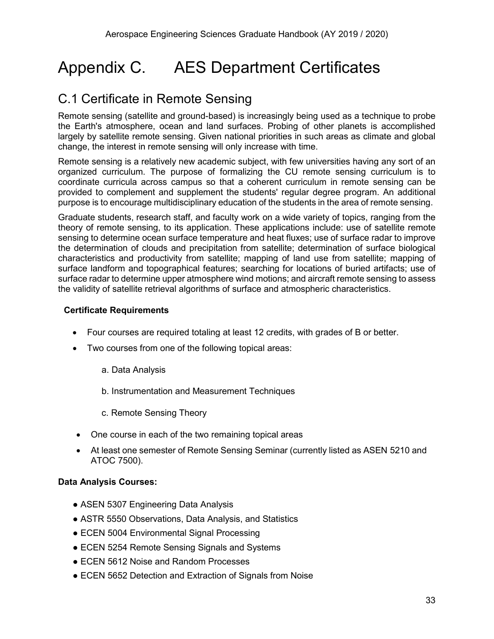# <span id="page-33-0"></span>Appendix C. AES Department Certificates

# <span id="page-33-1"></span>C.1 Certificate in Remote Sensing

Remote sensing (satellite and ground-based) is increasingly being used as a technique to probe the Earth's atmosphere, ocean and land surfaces. Probing of other planets is accomplished largely by satellite remote sensing. Given national priorities in such areas as climate and global change, the interest in remote sensing will only increase with time.

Remote sensing is a relatively new academic subject, with few universities having any sort of an organized curriculum. The purpose of formalizing the CU remote sensing curriculum is to coordinate curricula across campus so that a coherent curriculum in remote sensing can be provided to complement and supplement the students' regular degree program. An additional purpose is to encourage multidisciplinary education of the students in the area of remote sensing.

Graduate students, research staff, and faculty work on a wide variety of topics, ranging from the theory of remote sensing, to its application. These applications include: use of satellite remote sensing to determine ocean surface temperature and heat fluxes; use of surface radar to improve the determination of clouds and precipitation from satellite; determination of surface biological characteristics and productivity from satellite; mapping of land use from satellite; mapping of surface landform and topographical features; searching for locations of buried artifacts; use of surface radar to determine upper atmosphere wind motions; and aircraft remote sensing to assess the validity of satellite retrieval algorithms of surface and atmospheric characteristics.

#### **Certificate Requirements**

- Four courses are required totaling at least 12 credits, with grades of B or better.
- Two courses from one of the following topical areas:
	- a. Data Analysis
	- b. Instrumentation and Measurement Techniques
	- c. Remote Sensing Theory
- One course in each of the two remaining topical areas
- At least one semester of Remote Sensing Seminar (currently listed as ASEN 5210 and ATOC 7500).

#### **Data Analysis Courses:**

- ASEN 5307 Engineering Data Analysis
- ASTR 5550 Observations, Data Analysis, and Statistics
- ECEN 5004 Environmental Signal Processing
- ECEN 5254 Remote Sensing Signals and Systems
- ECEN 5612 Noise and Random Processes
- ECEN 5652 Detection and Extraction of Signals from Noise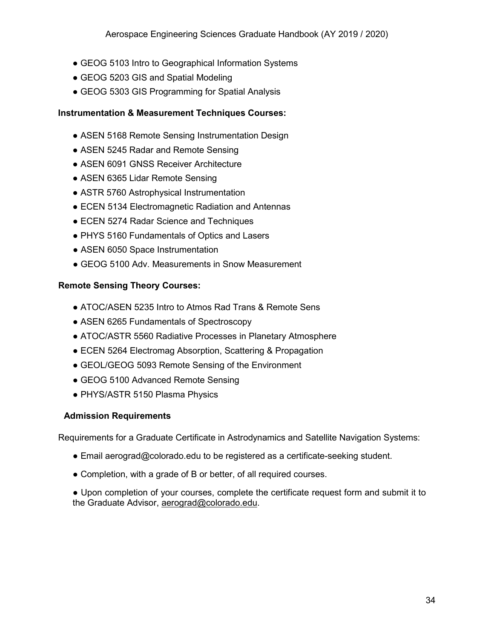- GEOG 5103 Intro to Geographical Information Systems
- GEOG 5203 GIS and Spatial Modeling
- GEOG 5303 GIS Programming for Spatial Analysis

#### **Instrumentation & Measurement Techniques Courses:**

- ASEN 5168 Remote Sensing Instrumentation Design
- ASEN 5245 Radar and Remote Sensing
- ASEN 6091 GNSS Receiver Architecture
- ASEN 6365 Lidar Remote Sensing
- ASTR 5760 Astrophysical Instrumentation
- ECEN 5134 Electromagnetic Radiation and Antennas
- ECEN 5274 Radar Science and Techniques
- PHYS 5160 Fundamentals of Optics and Lasers
- ASEN 6050 Space Instrumentation
- GEOG 5100 Adv. Measurements in Snow Measurement

#### **Remote Sensing Theory Courses:**

- ATOC/ASEN 5235 Intro to Atmos Rad Trans & Remote Sens
- ASEN 6265 Fundamentals of Spectroscopy
- ATOC/ASTR 5560 Radiative Processes in Planetary Atmosphere
- ECEN 5264 Electromag Absorption, Scattering & Propagation
- GEOL/GEOG 5093 Remote Sensing of the Environment
- GEOG 5100 Advanced Remote Sensing
- PHYS/ASTR 5150 Plasma Physics

#### **Admission Requirements**

Requirements for a Graduate Certificate in Astrodynamics and Satellite Navigation Systems:

- Email aerograd@colorado.edu to be registered as a certificate-seeking student.
- Completion, with a grade of B or better, of all required courses.

● Upon completion of your courses, complete the certificate request form and submit it to the Graduate Advisor, [aerograd@colorado.edu.](mailto:aerograd@colorado.edu)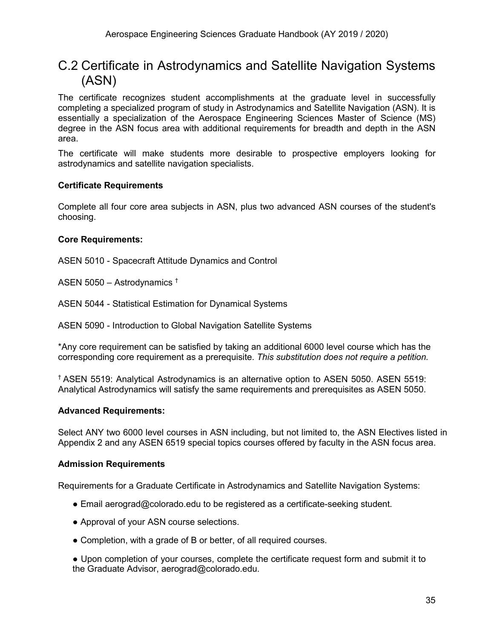## <span id="page-35-0"></span>C.2 Certificate in Astrodynamics and Satellite Navigation Systems (ASN)

The certificate recognizes student accomplishments at the graduate level in successfully completing a specialized program of study in Astrodynamics and Satellite Navigation (ASN). It is essentially a specialization of the Aerospace Engineering Sciences Master of Science (MS) degree in the ASN focus area with additional requirements for breadth and depth in the ASN area.

The certificate will make students more desirable to prospective employers looking for astrodynamics and satellite navigation specialists.

#### **Certificate Requirements**

Complete all four core area subjects in ASN, plus two advanced ASN courses of the student's choosing.

#### **Core Requirements:**

ASEN 5010 - Spacecraft Attitude Dynamics and Control

ASEN 5050 – Astrodynamics †

ASEN 5044 - Statistical Estimation for Dynamical Systems

ASEN 5090 - Introduction to Global Navigation Satellite Systems

\*Any core requirement can be satisfied by taking an additional 6000 level course which has the corresponding core requirement as a prerequisite. *This substitution does not require a petition.*

† ASEN 5519: Analytical Astrodynamics is an alternative option to ASEN 5050. ASEN 5519: Analytical Astrodynamics will satisfy the same requirements and prerequisites as ASEN 5050.

#### **Advanced Requirements:**

Select ANY two 6000 level courses in ASN including, but not limited to, the ASN Electives listed in Appendix 2 and any ASEN 6519 special topics courses offered by faculty in the ASN focus area.

#### **Admission Requirements**

Requirements for a Graduate Certificate in Astrodynamics and Satellite Navigation Systems:

- Email aerograd@colorado.edu to be registered as a certificate-seeking student.
- Approval of your ASN course selections.
- Completion, with a grade of B or better, of all required courses.

● Upon completion of your courses, complete the certificate request form and submit it to the Graduate Advisor, aerograd@colorado.edu.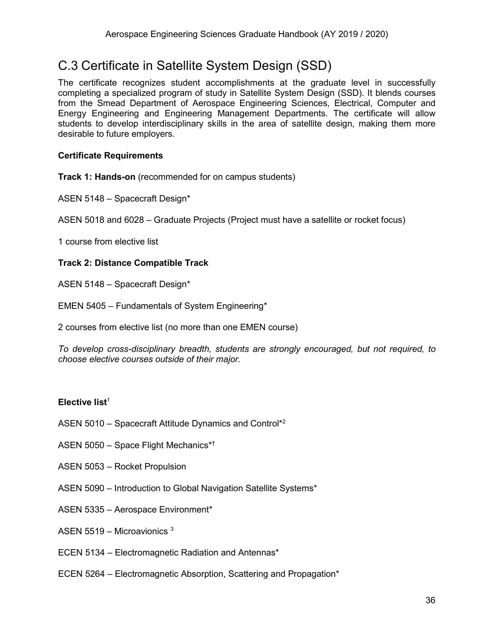# <span id="page-36-0"></span>C.3 Certificate in Satellite System Design (SSD)

The certificate recognizes student accomplishments at the graduate level in successfully completing a specialized program of study in Satellite System Design (SSD). It blends courses from the Smead Department of Aerospace Engineering Sciences, Electrical, Computer and Energy Engineering and Engineering Management Departments. The certificate will allow students to develop interdisciplinary skills in the area of satellite design, making them more desirable to future employers.

#### **Certificate Requirements**

**Track 1: Hands-on** (recommended for on campus students)

ASEN 5148 – Spacecraft Design\*

ASEN 5018 and 6028 – Graduate Projects (Project must have a satellite or rocket focus)

1 course from elective list

#### **Track 2: Distance Compatible Track**

ASEN 5148 – Spacecraft Design\*

EMEN 5405 – Fundamentals of System Engineering\*

2 courses from elective list (no more than one EMEN course)

*To develop cross-disciplinary breadth, students are strongly encouraged, but not required, to choose elective courses outside of their major.*

#### **Elective list**<sup>1</sup>

- ASEN 5010 Spacecraft Attitude Dynamics and Control\*2
- ASEN 5050 Space Flight Mechanics\*†
- ASEN 5053 Rocket Propulsion
- ASEN 5090 Introduction to Global Navigation Satellite Systems\*
- ASEN 5335 Aerospace Environment\*
- ASEN 5519 Microavionics  $3$
- ECEN 5134 Electromagnetic Radiation and Antennas\*
- ECEN 5264 Electromagnetic Absorption, Scattering and Propagation\*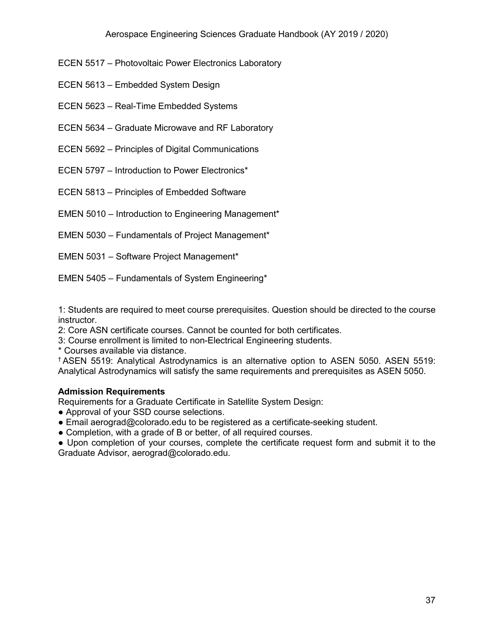- ECEN 5517 Photovoltaic Power Electronics Laboratory
- ECEN 5613 Embedded System Design
- ECEN 5623 Real-Time Embedded Systems
- ECEN 5634 Graduate Microwave and RF Laboratory
- ECEN 5692 Principles of Digital Communications
- ECEN 5797 Introduction to Power Electronics\*
- ECEN 5813 Principles of Embedded Software
- EMEN 5010 Introduction to Engineering Management\*
- EMEN 5030 Fundamentals of Project Management\*
- EMEN 5031 Software Project Management\*
- EMEN 5405 Fundamentals of System Engineering\*

1: Students are required to meet course prerequisites. Question should be directed to the course instructor.

2: Core ASN certificate courses. Cannot be counted for both certificates.

- 3: Course enrollment is limited to non-Electrical Engineering students.
- \* Courses available via distance.

† ASEN 5519: Analytical Astrodynamics is an alternative option to ASEN 5050. ASEN 5519: Analytical Astrodynamics will satisfy the same requirements and prerequisites as ASEN 5050.

#### **Admission Requirements**

Requirements for a Graduate Certificate in Satellite System Design:

- Approval of your SSD course selections.
- Email aerograd@colorado.edu to be registered as a certificate-seeking student.
- Completion, with a grade of B or better, of all required courses.

• Upon completion of your courses, complete the certificate request form and submit it to the Graduate Advisor, aerograd@colorado.edu.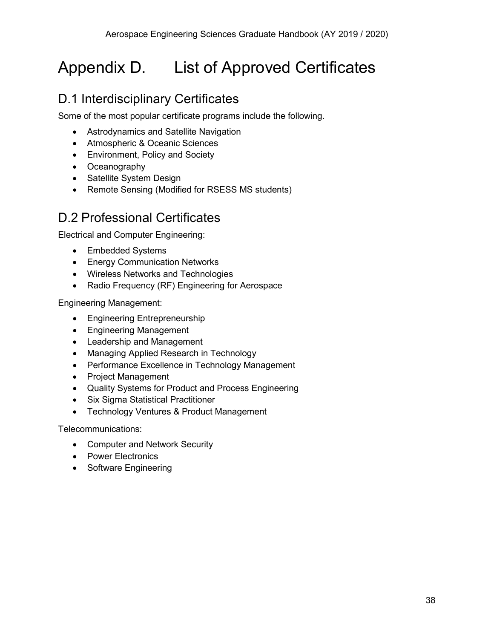# <span id="page-38-0"></span>Appendix D. List of Approved Certificates

# <span id="page-38-1"></span>D.1 Interdisciplinary Certificates

Some of the most popular certificate programs include the following.

- Astrodynamics and Satellite Navigation
- Atmospheric & Oceanic Sciences
- Environment, Policy and Society
- Oceanography
- Satellite System Design
- Remote Sensing (Modified for RSESS MS students)

# <span id="page-38-2"></span>D.2 Professional Certificates

Electrical and Computer Engineering:

- Embedded Systems
- [Energy](http://ece.colorado.edu/%7Epwrelect/book/CEdCourses.html) Communication Networks
- [Wireless](http://ece.colorado.edu/%7Eswengctf/) Networks and Technologies
- Radio Frequency (RF) Engineering for Aerospace

Engineering Management:

- Engineering Entrepreneurship
- Engineering Management
- Leadership and Management
- Managing Applied Research in Technology
- Performance Excellence in Technology Management
- Project Management
- Quality Systems for Product and Process Engineering
- Six Sigma Statistical Practitioner
- Technology Ventures & Product Management

Telecommunications:

- Computer and Network Security
- Power Electronics
- Software Engineering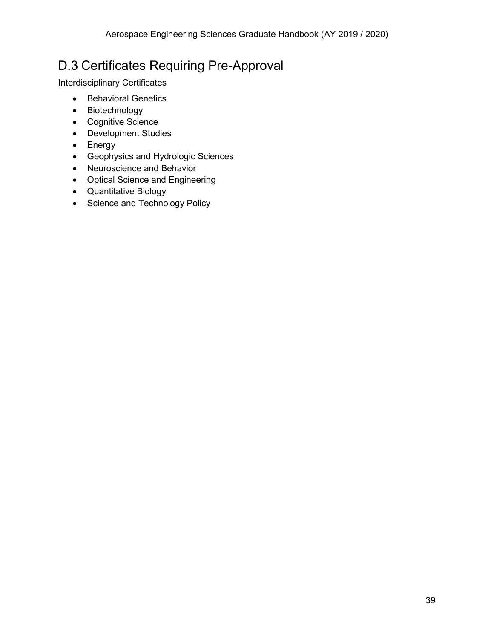# <span id="page-39-0"></span>D.3 Certificates Requiring Pre-Approval

Interdisciplinary Certificates

- Behavioral Genetics
- Biotechnology
- Cognitive Science
- Development Studies
- Energy
- Geophysics and Hydrologic Sciences
- Neuroscience and Behavior
- Optical Science and Engineering
- Quantitative Biology
- Science and Technology Policy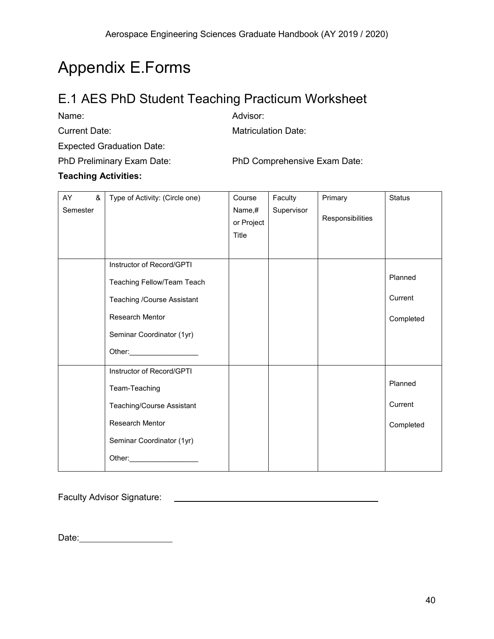# <span id="page-40-0"></span>Appendix E.Forms

# <span id="page-40-1"></span>E.1 AES PhD Student Teaching Practicum Worksheet

Name: Advisor:

Current Date: Matriculation Date:

Expected Graduation Date:

PhD Preliminary Exam Date: PhD Comprehensive Exam Date:

#### **Teaching Activities:**

| AY<br>&<br>Semester | Type of Activity: (Circle one)                                                                                                                                                                     | Course<br>Name,#<br>or Project<br>Title | Faculty<br>Supervisor | Primary<br>Responsibilities | <b>Status</b>                   |
|---------------------|----------------------------------------------------------------------------------------------------------------------------------------------------------------------------------------------------|-----------------------------------------|-----------------------|-----------------------------|---------------------------------|
|                     | Instructor of Record/GPTI<br>Teaching Fellow/Team Teach<br>Teaching /Course Assistant<br><b>Research Mentor</b><br>Seminar Coordinator (1yr)<br>Other: 2008                                        |                                         |                       |                             | Planned<br>Current<br>Completed |
|                     | Instructor of Record/GPTI<br>Team-Teaching<br>Teaching/Course Assistant<br><b>Research Mentor</b><br>Seminar Coordinator (1yr)<br>Other:<br><u> 1989 - Alexandr Store Barnett, ameri</u> kansk kon |                                         |                       |                             | Planned<br>Current<br>Completed |

Faculty Advisor Signature:

Date: <u>www.community.com</u>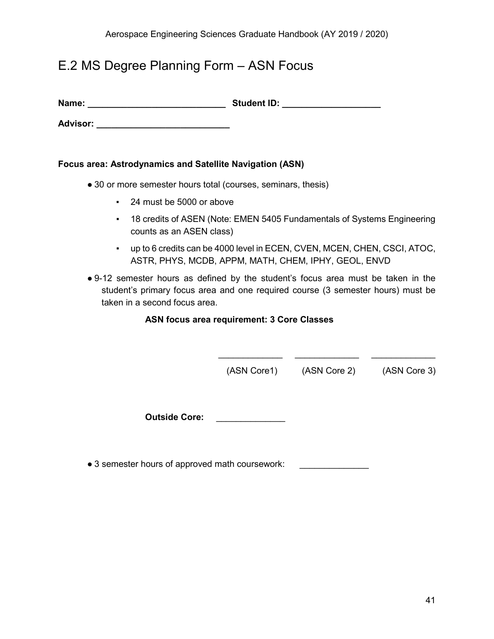# <span id="page-41-0"></span>E.2 MS Degree Planning Form – ASN Focus

**Name: \_\_\_\_\_\_\_\_\_\_\_\_\_\_\_\_\_\_\_\_\_\_\_\_\_\_\_\_ Student ID: \_\_\_\_\_\_\_\_\_\_\_\_\_\_\_\_\_\_\_\_**

**Advisor: \_\_\_\_\_\_\_\_\_\_\_\_\_\_\_\_\_\_\_\_\_\_\_\_\_\_\_**

#### **Focus area: Astrodynamics and Satellite Navigation (ASN)**

- 30 or more semester hours total (courses, seminars, thesis)
	- 24 must be 5000 or above
	- 18 credits of ASEN (Note: EMEN 5405 Fundamentals of Systems Engineering counts as an ASEN class)
	- up to 6 credits can be 4000 level in ECEN, CVEN, MCEN, CHEN, CSCI, ATOC, ASTR, PHYS, MCDB, APPM, MATH, CHEM, IPHY, GEOL, ENVD
- 9-12 semester hours as defined by the student's focus area must be taken in the student's primary focus area and one required course (3 semester hours) must be taken in a second focus area.

#### **ASN focus area requirement: 3 Core Classes**

(ASN Core1) (ASN Core 2) (ASN Core 3)

\_\_\_\_\_\_\_\_\_\_\_\_\_ \_\_\_\_\_\_\_\_\_\_\_\_\_ \_\_\_\_\_\_\_\_\_\_\_\_\_

**Outside Core: Discussed Core-**

• 3 semester hours of approved math coursework: \_\_\_\_\_\_\_\_\_\_\_\_\_\_\_\_\_\_\_\_\_\_\_\_\_\_\_\_\_\_\_\_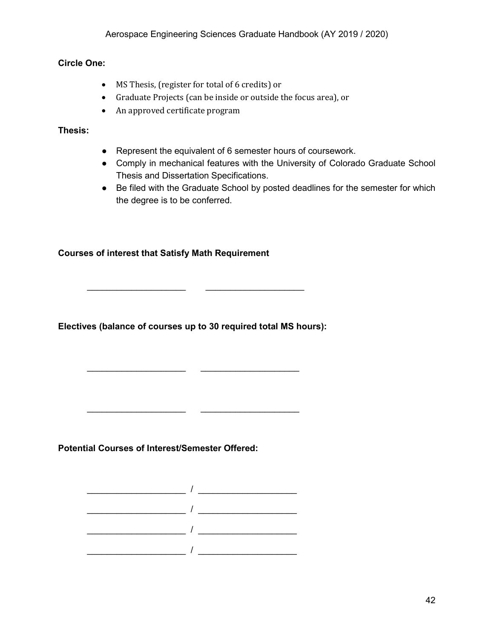#### **Circle One:**

- MS Thesis, (register for total of 6 credits) or
- Graduate Projects (can be inside or outside the focus area), or
- An approved certificate program

#### **Thesis:**

- Represent the equivalent of 6 semester hours of coursework.
- Comply in mechanical features with the University of Colorado Graduate School Thesis and Dissertation Specifications.
- Be filed with the Graduate School by posted deadlines for the semester for which the degree is to be conferred.

#### **Courses of interest that Satisfy Math Requirement**

**Electives (balance of courses up to 30 required total MS hours):**

\_\_\_\_\_\_\_\_\_\_\_\_\_\_\_\_\_\_\_\_ \_\_\_\_\_\_\_\_\_\_\_\_\_\_\_\_\_\_\_\_

\_\_\_\_\_\_\_\_\_\_\_\_\_\_\_\_\_\_\_\_ \_\_\_\_\_\_\_\_\_\_\_\_\_\_\_\_\_\_\_\_

**Potential Courses of Interest/Semester Offered:**

 $\overline{\phantom{a}}$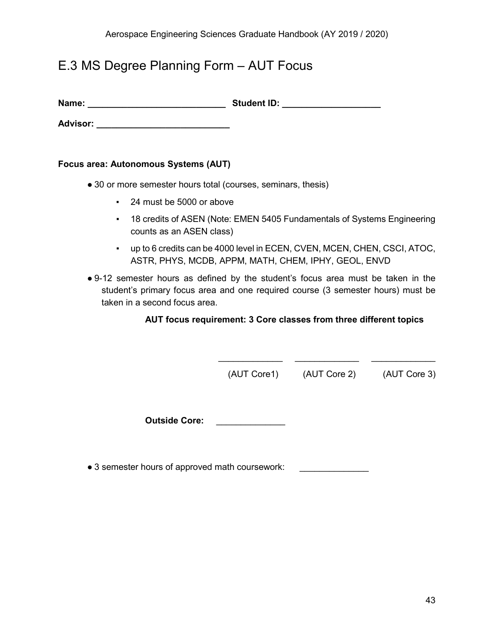# <span id="page-43-0"></span>E.3 MS Degree Planning Form – AUT Focus

**Name: \_\_\_\_\_\_\_\_\_\_\_\_\_\_\_\_\_\_\_\_\_\_\_\_\_\_\_\_ Student ID: \_\_\_\_\_\_\_\_\_\_\_\_\_\_\_\_\_\_\_\_**

**Advisor: \_\_\_\_\_\_\_\_\_\_\_\_\_\_\_\_\_\_\_\_\_\_\_\_\_\_\_**

#### **Focus area: Autonomous Systems (AUT)**

- 30 or more semester hours total (courses, seminars, thesis)
	- 24 must be 5000 or above
	- 18 credits of ASEN (Note: EMEN 5405 Fundamentals of Systems Engineering counts as an ASEN class)
	- up to 6 credits can be 4000 level in ECEN, CVEN, MCEN, CHEN, CSCI, ATOC, ASTR, PHYS, MCDB, APPM, MATH, CHEM, IPHY, GEOL, ENVD
- 9-12 semester hours as defined by the student's focus area must be taken in the student's primary focus area and one required course (3 semester hours) must be taken in a second focus area.

#### **AUT focus requirement: 3 Core classes from three different topics**

 $\overline{\phantom{a}}$  ,  $\overline{\phantom{a}}$  ,  $\overline{\phantom{a}}$  ,  $\overline{\phantom{a}}$  ,  $\overline{\phantom{a}}$  ,  $\overline{\phantom{a}}$  ,  $\overline{\phantom{a}}$  ,  $\overline{\phantom{a}}$  ,  $\overline{\phantom{a}}$  ,  $\overline{\phantom{a}}$  ,  $\overline{\phantom{a}}$  ,  $\overline{\phantom{a}}$  ,  $\overline{\phantom{a}}$  ,  $\overline{\phantom{a}}$  ,  $\overline{\phantom{a}}$  ,  $\overline{\phantom{a}}$ 

(AUT Core1) (AUT Core 2) (AUT Core 3)

**Outside Core:** \_\_\_\_\_\_\_\_\_\_\_\_\_\_

• 3 semester hours of approved math coursework: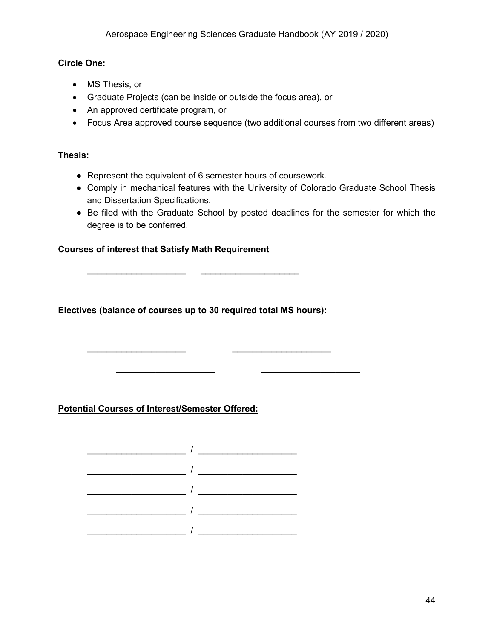#### **Circle One:**

- MS Thesis, or
- Graduate Projects (can be inside or outside the focus area), or
- An approved certificate program, or
- Focus Area approved course sequence (two additional courses from two different areas)

#### **Thesis:**

- Represent the equivalent of 6 semester hours of coursework.
- Comply in mechanical features with the University of Colorado Graduate School Thesis and Dissertation Specifications.
- Be filed with the Graduate School by posted deadlines for the semester for which the degree is to be conferred.

\_\_\_\_\_\_\_\_\_\_\_\_\_\_\_\_\_\_\_\_ \_\_\_\_\_\_\_\_\_\_\_\_\_\_\_\_\_\_\_\_

#### **Courses of interest that Satisfy Math Requirement**

**Electives (balance of courses up to 30 required total MS hours):**

\_\_\_\_\_\_\_\_\_\_\_\_\_\_\_\_\_\_\_\_ \_\_\_\_\_\_\_\_\_\_\_\_\_\_\_\_\_\_\_\_

#### **Potential Courses of Interest/Semester Offered:**

 $\mathcal{L}=\mathcal{L}=\mathcal{L}$ 

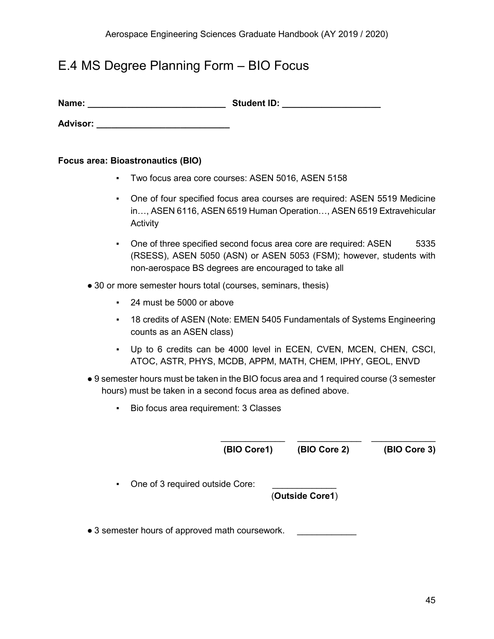# <span id="page-45-0"></span>E.4 MS Degree Planning Form – BIO Focus

| Name: | <b>Student ID:</b> |
|-------|--------------------|
|       |                    |

**Advisor: \_\_\_\_\_\_\_\_\_\_\_\_\_\_\_\_\_\_\_\_\_\_\_\_\_\_\_**

#### **Focus area: Bioastronautics (BIO)**

- Two focus area core courses: ASEN 5016, ASEN 5158
- One of four specified focus area courses are required: ASEN 5519 Medicine in…, ASEN 6116, ASEN 6519 Human Operation…, ASEN 6519 Extravehicular **Activity**
- One of three specified second focus area core are required: ASEN 5335 (RSESS), ASEN 5050 (ASN) or ASEN 5053 (FSM); however, students with non-aerospace BS degrees are encouraged to take all
- 30 or more semester hours total (courses, seminars, thesis)
	- 24 must be 5000 or above
	- 18 credits of ASEN (Note: EMEN 5405 Fundamentals of Systems Engineering counts as an ASEN class)
	- Up to 6 credits can be 4000 level in ECEN, CVEN, MCEN, CHEN, CSCI, ATOC, ASTR, PHYS, MCDB, APPM, MATH, CHEM, IPHY, GEOL, ENVD
- 9 semester hours must be taken in the BIO focus area and 1 required course (3 semester hours) must be taken in a second focus area as defined above.
	- Bio focus area requirement: 3 Classes

**(BIO Core1) (BIO Core 2) (BIO Core 3)** 

\_\_\_\_\_\_\_\_\_\_\_\_\_ \_\_\_\_\_\_\_\_\_\_\_\_\_ \_\_\_\_\_\_\_\_\_\_\_\_\_

• One of 3 required outside Core:

(**Outside Core1**)

• 3 semester hours of approved math coursework.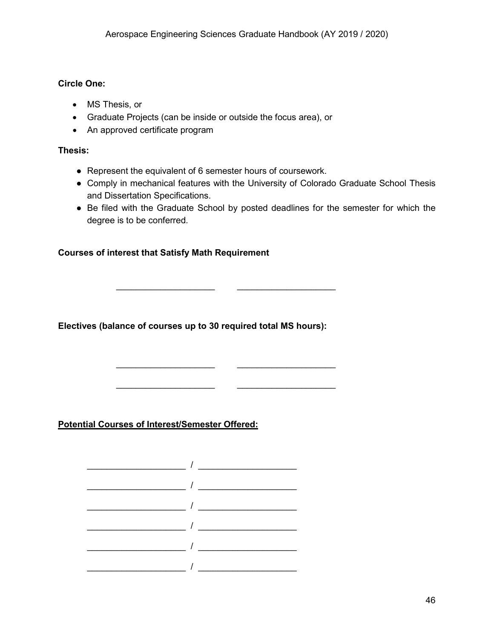#### **Circle One:**

- MS Thesis, or
- Graduate Projects (can be inside or outside the focus area), or
- An approved certificate program

#### **Thesis:**

- Represent the equivalent of 6 semester hours of coursework.
- Comply in mechanical features with the University of Colorado Graduate School Thesis and Dissertation Specifications.
- Be filed with the Graduate School by posted deadlines for the semester for which the degree is to be conferred.

#### **Courses of interest that Satisfy Math Requirement**

**Electives (balance of courses up to 30 required total MS hours):**

 $\overline{\phantom{a}}$  , and the set of the set of the set of the set of the set of the set of the set of the set of the set of the set of the set of the set of the set of the set of the set of the set of the set of the set of the s

\_\_\_\_\_\_\_\_\_\_\_\_\_\_\_\_\_\_\_\_ \_\_\_\_\_\_\_\_\_\_\_\_\_\_\_\_\_\_\_\_

\_\_\_\_\_\_\_\_\_\_\_\_\_\_\_\_\_\_\_\_ \_\_\_\_\_\_\_\_\_\_\_\_\_\_\_\_\_\_\_\_

**Potential Courses of Interest/Semester Offered:**

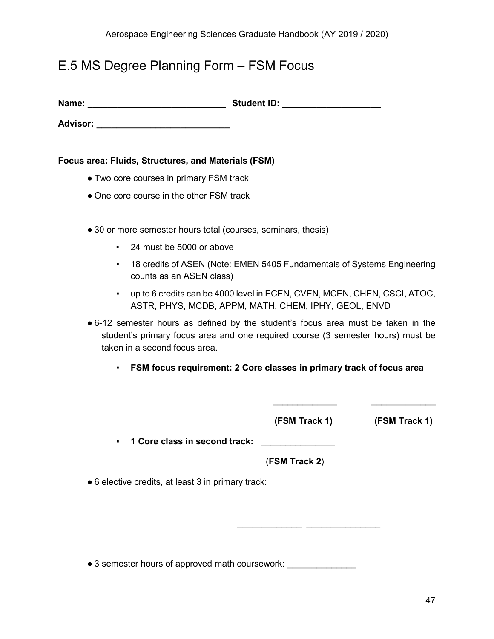# <span id="page-47-0"></span>E.5 MS Degree Planning Form – FSM Focus

**Name: \_\_\_\_\_\_\_\_\_\_\_\_\_\_\_\_\_\_\_\_\_\_\_\_\_\_\_\_ Student ID: \_\_\_\_\_\_\_\_\_\_\_\_\_\_\_\_\_\_\_\_**

**Advisor: \_\_\_\_\_\_\_\_\_\_\_\_\_\_\_\_\_\_\_\_\_\_\_\_\_\_\_**

**Focus area: Fluids, Structures, and Materials (FSM)**

- Two core courses in primary FSM track
- One core course in the other FSM track
- 30 or more semester hours total (courses, seminars, thesis)
	- 24 must be 5000 or above
	- 18 credits of ASEN (Note: EMEN 5405 Fundamentals of Systems Engineering counts as an ASEN class)
	- up to 6 credits can be 4000 level in ECEN, CVEN, MCEN, CHEN, CSCI, ATOC, ASTR, PHYS, MCDB, APPM, MATH, CHEM, IPHY, GEOL, ENVD
- 6-12 semester hours as defined by the student's focus area must be taken in the student's primary focus area and one required course (3 semester hours) must be taken in a second focus area.
	- **FSM focus requirement: 2 Core classes in primary track of focus area**

 **(FSM Track 1) (FSM Track 1)**

\_\_\_\_\_\_\_\_\_\_\_\_\_ \_\_\_\_\_\_\_\_\_\_\_\_\_\_\_

 $\frac{1}{\sqrt{2}}$  ,  $\frac{1}{\sqrt{2}}$  ,  $\frac{1}{\sqrt{2}}$  ,  $\frac{1}{\sqrt{2}}$  ,  $\frac{1}{\sqrt{2}}$  ,  $\frac{1}{\sqrt{2}}$  ,  $\frac{1}{\sqrt{2}}$  ,  $\frac{1}{\sqrt{2}}$  ,  $\frac{1}{\sqrt{2}}$  ,  $\frac{1}{\sqrt{2}}$  ,  $\frac{1}{\sqrt{2}}$  ,  $\frac{1}{\sqrt{2}}$  ,  $\frac{1}{\sqrt{2}}$  ,  $\frac{1}{\sqrt{2}}$  ,  $\frac{1}{\sqrt{2}}$ 

▪ **1 Core class in second track:** \_\_\_\_\_\_\_\_\_\_\_\_\_\_\_

(**FSM Track 2**)

● 6 elective credits, at least 3 in primary track:

• 3 semester hours of approved math coursework: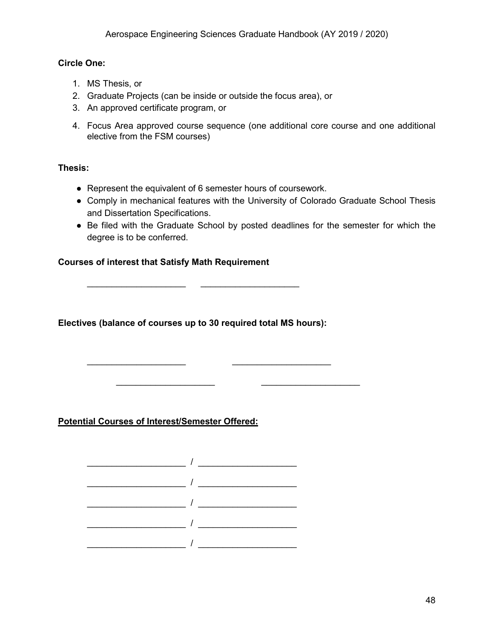#### **Circle One:**

- 1. MS Thesis, or
- 2. Graduate Projects (can be inside or outside the focus area), or
- 3. An approved certificate program, or
- 4. Focus Area approved course sequence (one additional core course and one additional elective from the FSM courses)

#### **Thesis:**

- Represent the equivalent of 6 semester hours of coursework.
- Comply in mechanical features with the University of Colorado Graduate School Thesis and Dissertation Specifications.
- Be filed with the Graduate School by posted deadlines for the semester for which the degree is to be conferred.

#### **Courses of interest that Satisfy Math Requirement**

**Electives (balance of courses up to 30 required total MS hours):**

\_\_\_\_\_\_\_\_\_\_\_\_\_\_\_\_\_\_\_\_ \_\_\_\_\_\_\_\_\_\_\_\_\_\_\_\_\_\_\_\_

\_\_\_\_\_\_\_\_\_\_\_\_\_\_\_\_\_\_\_\_ \_\_\_\_\_\_\_\_\_\_\_\_\_\_\_\_\_\_\_\_

\_\_\_\_\_\_\_\_\_\_\_\_\_\_\_\_\_\_\_\_ \_\_\_\_\_\_\_\_\_\_\_\_\_\_\_\_\_\_\_\_

**Potential Courses of Interest/Semester Offered:**

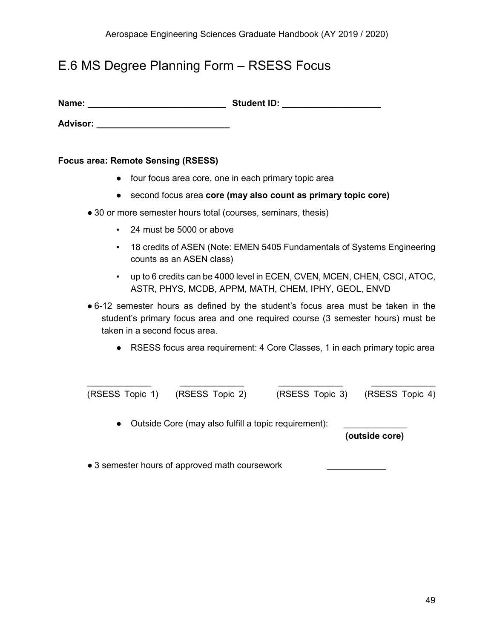## <span id="page-49-0"></span>E.6 MS Degree Planning Form – RSESS Focus

| Name: | <b>Student ID:</b> |
|-------|--------------------|
|-------|--------------------|

**Advisor: \_\_\_\_\_\_\_\_\_\_\_\_\_\_\_\_\_\_\_\_\_\_\_\_\_\_\_**

#### **Focus area: Remote Sensing (RSESS)**

- four focus area core, one in each primary topic area
- second focus area **core (may also count as primary topic core)**
- 30 or more semester hours total (courses, seminars, thesis)
	- 24 must be 5000 or above
	- 18 credits of ASEN (Note: EMEN 5405 Fundamentals of Systems Engineering counts as an ASEN class)
	- up to 6 credits can be 4000 level in ECEN, CVEN, MCEN, CHEN, CSCI, ATOC, ASTR, PHYS, MCDB, APPM, MATH, CHEM, IPHY, GEOL, ENVD
- 6-12 semester hours as defined by the student's focus area must be taken in the student's primary focus area and one required course (3 semester hours) must be taken in a second focus area.
	- RSESS focus area requirement: 4 Core Classes, 1 in each primary topic area

| (RSESS Topic 1) (RSESS Topic 2) | (RSESS Topic 3) (RSESS Topic 4) |  |
|---------------------------------|---------------------------------|--|

• Outside Core (may also fulfill a topic requirement):

**(outside core)**

• 3 semester hours of approved math coursework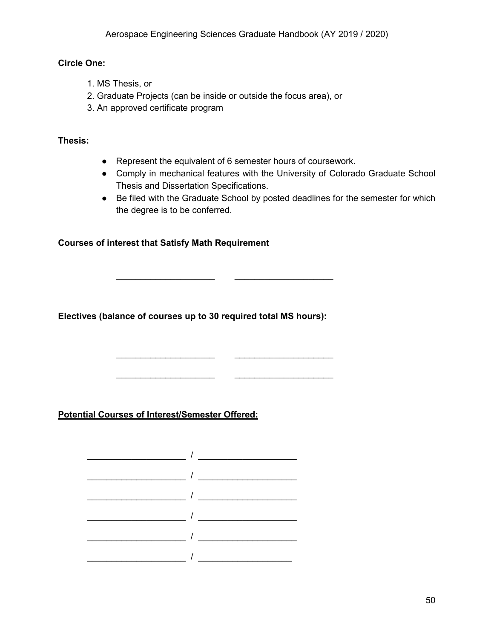#### **Circle One:**

- 1. MS Thesis, or
- 2. Graduate Projects (can be inside or outside the focus area), or
- 3. An approved certificate program

#### **Thesis:**

● Represent the equivalent of 6 semester hours of coursework.

\_\_\_\_\_\_\_\_\_\_\_\_\_\_\_\_\_\_\_\_ \_\_\_\_\_\_\_\_\_\_\_\_\_\_\_\_\_\_\_\_

\_\_\_\_\_\_\_\_\_\_\_\_\_\_\_\_\_\_\_\_ \_\_\_\_\_\_\_\_\_\_\_\_\_\_\_\_\_\_\_\_

\_\_\_\_\_\_\_\_\_\_\_\_\_\_\_\_\_\_\_\_ \_\_\_\_\_\_\_\_\_\_\_\_\_\_\_\_\_\_\_\_

- Comply in mechanical features with the University of Colorado Graduate School Thesis and Dissertation Specifications.
- Be filed with the Graduate School by posted deadlines for the semester for which the degree is to be conferred.

#### **Courses of interest that Satisfy Math Requirement**

**Electives (balance of courses up to 30 required total MS hours):**

**Potential Courses of Interest/Semester Offered:**

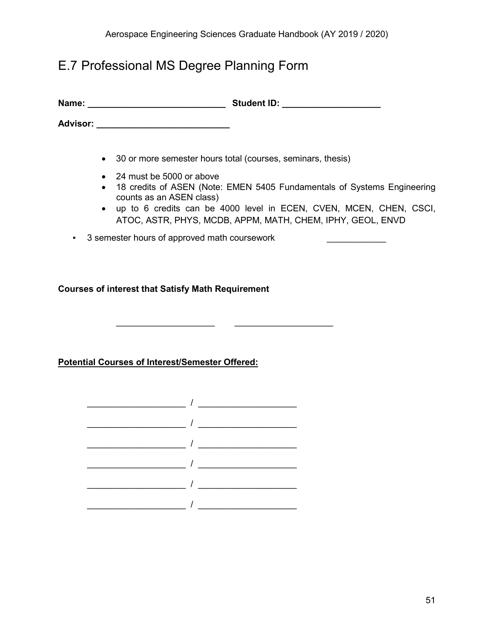# <span id="page-51-0"></span>E.7 Professional MS Degree Planning Form

| Name:           | <b>Student ID:</b> |
|-----------------|--------------------|
| <b>Advisor:</b> |                    |

• 30 or more semester hours total (courses, seminars, thesis)

\_\_\_\_\_\_\_\_\_\_\_\_\_\_\_\_\_\_\_\_ \_\_\_\_\_\_\_\_\_\_\_\_\_\_\_\_\_\_\_\_

- 24 must be 5000 or above
- 18 credits of ASEN (Note: EMEN 5405 Fundamentals of Systems Engineering counts as an ASEN class)
- up to 6 credits can be 4000 level in ECEN, CVEN, MCEN, CHEN, CSCI, ATOC, ASTR, PHYS, MCDB, APPM, MATH, CHEM, IPHY, GEOL, ENVD
- 3 semester hours of approved math coursework \_\_\_\_\_\_\_\_\_\_\_\_

**Courses of interest that Satisfy Math Requirement** 

**Potential Courses of Interest/Semester Offered:**

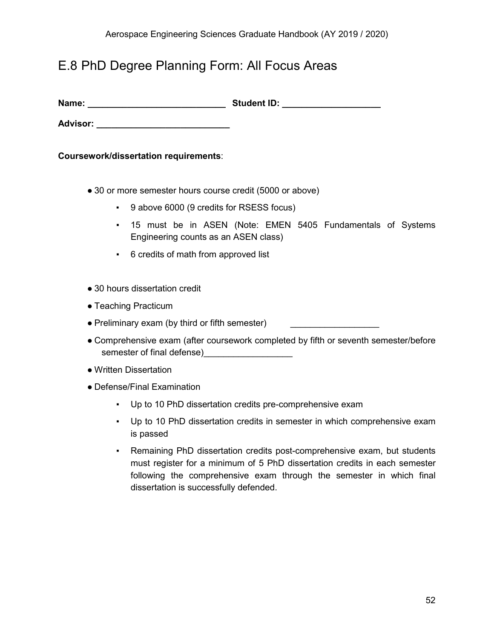## <span id="page-52-0"></span>E.8 PhD Degree Planning Form: All Focus Areas

| Name:<br><b>Student ID:</b> |
|-----------------------------|
|-----------------------------|

**Advisor:**  $\blacksquare$ 

**Coursework/dissertation requirements**:

- 30 or more semester hours course credit (5000 or above)
	- 9 above 6000 (9 credits for RSESS focus)
	- 15 must be in ASEN (Note: EMEN 5405 Fundamentals of Systems Engineering counts as an ASEN class)
	- 6 credits of math from approved list
- 30 hours dissertation credit
- Teaching Practicum
- Preliminary exam (by third or fifth semester)
- Comprehensive exam (after coursework completed by fifth or seventh semester/before semester of final defense)\_\_\_\_\_\_\_\_\_\_\_\_\_\_\_\_\_\_\_\_
- Written Dissertation
- Defense/Final Examination
	- Up to 10 PhD dissertation credits pre-comprehensive exam
	- Up to 10 PhD dissertation credits in semester in which comprehensive exam is passed
	- Remaining PhD dissertation credits post-comprehensive exam, but students must register for a minimum of 5 PhD dissertation credits in each semester following the comprehensive exam through the semester in which final dissertation is successfully defended.